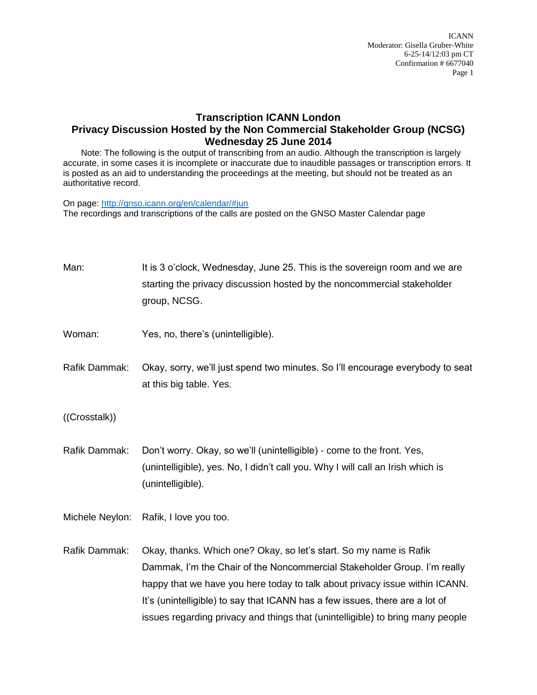ICANN Moderator: Gisella Gruber-White 6-25-14/12:03 pm CT Confirmation # 6677040 Page 1

## **Transcription ICANN London Privacy Discussion Hosted by the Non Commercial Stakeholder Group (NCSG) Wednesday 25 June 2014**

Note: The following is the output of transcribing from an audio. Although the transcription is largely accurate, in some cases it is incomplete or inaccurate due to inaudible passages or transcription errors. It is posted as an aid to understanding the proceedings at the meeting, but should not be treated as an authoritative record.

On page:<http://gnso.icann.org/en/calendar/#jun> The recordings and transcriptions of the calls are posted on the GNSO Master Calendar page

| Man:            | It is 3 o'clock, Wednesday, June 25. This is the sovereign room and we are<br>starting the privacy discussion hosted by the noncommercial stakeholder<br>group, NCSG.                                                                                                                                                                                                                           |
|-----------------|-------------------------------------------------------------------------------------------------------------------------------------------------------------------------------------------------------------------------------------------------------------------------------------------------------------------------------------------------------------------------------------------------|
| Woman:          | Yes, no, there's (unintelligible).                                                                                                                                                                                                                                                                                                                                                              |
| Rafik Dammak:   | Okay, sorry, we'll just spend two minutes. So I'll encourage everybody to seat<br>at this big table. Yes.                                                                                                                                                                                                                                                                                       |
| ((Crosstalk))   |                                                                                                                                                                                                                                                                                                                                                                                                 |
| Rafik Dammak:   | Don't worry. Okay, so we'll (unintelligible) - come to the front. Yes,<br>(unintelligible), yes. No, I didn't call you. Why I will call an Irish which is<br>(unintelligible).                                                                                                                                                                                                                  |
| Michele Neylon: | Rafik, I love you too.                                                                                                                                                                                                                                                                                                                                                                          |
| Rafik Dammak:   | Okay, thanks. Which one? Okay, so let's start. So my name is Rafik<br>Dammak, I'm the Chair of the Noncommercial Stakeholder Group. I'm really<br>happy that we have you here today to talk about privacy issue within ICANN.<br>It's (unintelligible) to say that ICANN has a few issues, there are a lot of<br>issues regarding privacy and things that (unintelligible) to bring many people |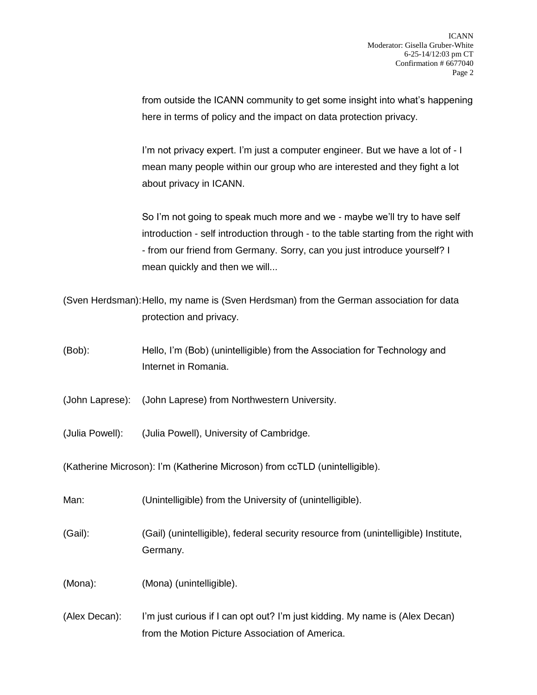from outside the ICANN community to get some insight into what's happening here in terms of policy and the impact on data protection privacy.

I'm not privacy expert. I'm just a computer engineer. But we have a lot of - I mean many people within our group who are interested and they fight a lot about privacy in ICANN.

So I'm not going to speak much more and we - maybe we'll try to have self introduction - self introduction through - to the table starting from the right with - from our friend from Germany. Sorry, can you just introduce yourself? I mean quickly and then we will...

(Sven Herdsman):Hello, my name is (Sven Herdsman) from the German association for data protection and privacy.

(Bob): Hello, I'm (Bob) (unintelligible) from the Association for Technology and Internet in Romania.

(John Laprese): (John Laprese) from Northwestern University.

(Julia Powell): (Julia Powell), University of Cambridge.

(Katherine Microson): I'm (Katherine Microson) from ccTLD (unintelligible).

Man: (Unintelligible) from the University of (unintelligible).

(Gail): (Gail) (unintelligible), federal security resource from (unintelligible) Institute, Germany.

(Mona): (Mona) (unintelligible).

(Alex Decan): I'm just curious if I can opt out? I'm just kidding. My name is (Alex Decan) from the Motion Picture Association of America.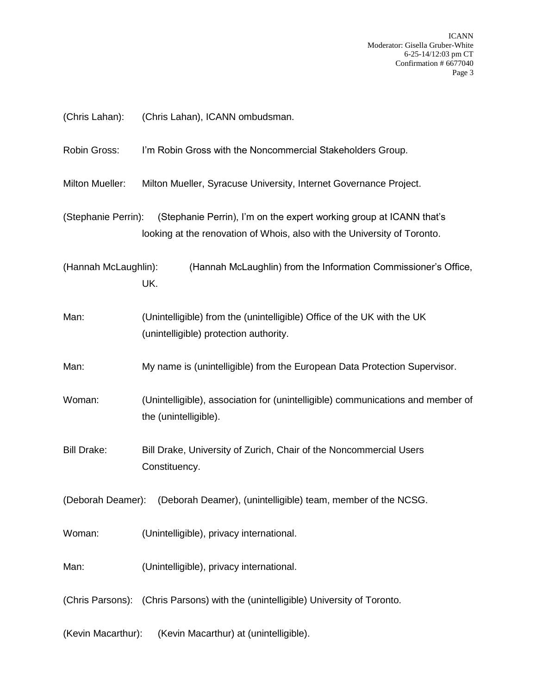| (Chris Lahan):         | (Chris Lahan), ICANN ombudsman.                                                                                                                 |
|------------------------|-------------------------------------------------------------------------------------------------------------------------------------------------|
| Robin Gross:           | I'm Robin Gross with the Noncommercial Stakeholders Group.                                                                                      |
| <b>Milton Mueller:</b> | Milton Mueller, Syracuse University, Internet Governance Project.                                                                               |
| (Stephanie Perrin):    | (Stephanie Perrin), I'm on the expert working group at ICANN that's<br>looking at the renovation of Whois, also with the University of Toronto. |
| (Hannah McLaughlin):   | (Hannah McLaughlin) from the Information Commissioner's Office,<br>UK.                                                                          |
| Man:                   | (Unintelligible) from the (unintelligible) Office of the UK with the UK<br>(unintelligible) protection authority.                               |
| Man:                   | My name is (unintelligible) from the European Data Protection Supervisor.                                                                       |
| Woman:                 | (Unintelligible), association for (unintelligible) communications and member of<br>the (unintelligible).                                        |
| <b>Bill Drake:</b>     | Bill Drake, University of Zurich, Chair of the Noncommercial Users<br>Constituency.                                                             |
|                        | (Deborah Deamer): (Deborah Deamer), (unintelligible) team, member of the NCSG.                                                                  |
| Woman:                 | (Unintelligible), privacy international.                                                                                                        |
| Man:                   | (Unintelligible), privacy international.                                                                                                        |
|                        | (Chris Parsons): (Chris Parsons) with the (unintelligible) University of Toronto.                                                               |
| (Kevin Macarthur):     | (Kevin Macarthur) at (unintelligible).                                                                                                          |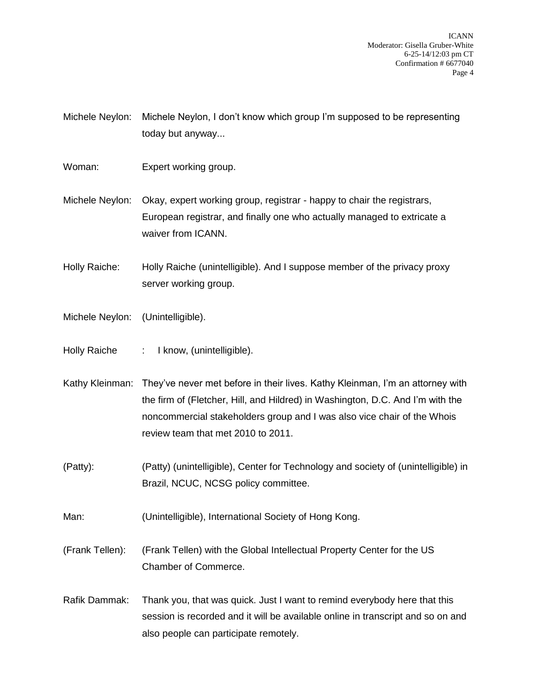Michele Neylon: Michele Neylon, I don't know which group I'm supposed to be representing today but anyway...

Woman: Expert working group.

Michele Neylon: Okay, expert working group, registrar - happy to chair the registrars, European registrar, and finally one who actually managed to extricate a waiver from ICANN.

Holly Raiche: Holly Raiche (unintelligible). And I suppose member of the privacy proxy server working group.

- Michele Neylon: (Unintelligible).
- Holly Raiche : I know, (unintelligible).

Kathy Kleinman: They've never met before in their lives. Kathy Kleinman, I'm an attorney with the firm of (Fletcher, Hill, and Hildred) in Washington, D.C. And I'm with the noncommercial stakeholders group and I was also vice chair of the Whois review team that met 2010 to 2011.

- (Patty): (Patty) (unintelligible), Center for Technology and society of (unintelligible) in Brazil, NCUC, NCSG policy committee.
- Man: (Unintelligible), International Society of Hong Kong.

(Frank Tellen): (Frank Tellen) with the Global Intellectual Property Center for the US Chamber of Commerce.

Rafik Dammak: Thank you, that was quick. Just I want to remind everybody here that this session is recorded and it will be available online in transcript and so on and also people can participate remotely.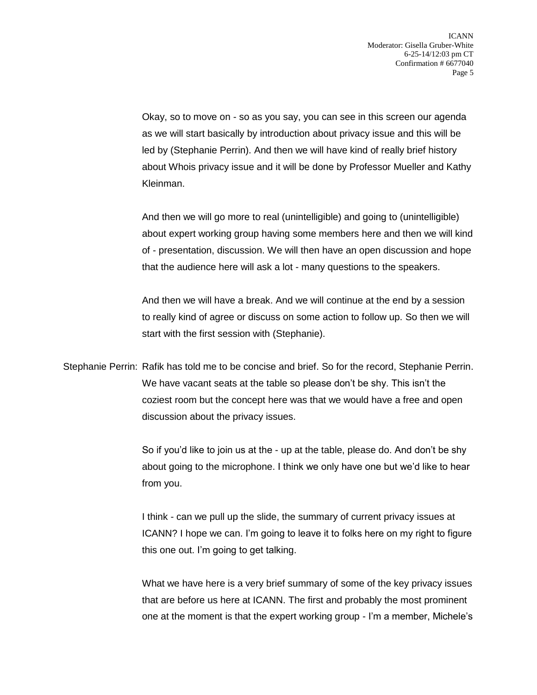Okay, so to move on - so as you say, you can see in this screen our agenda as we will start basically by introduction about privacy issue and this will be led by (Stephanie Perrin). And then we will have kind of really brief history about Whois privacy issue and it will be done by Professor Mueller and Kathy Kleinman.

And then we will go more to real (unintelligible) and going to (unintelligible) about expert working group having some members here and then we will kind of - presentation, discussion. We will then have an open discussion and hope that the audience here will ask a lot - many questions to the speakers.

And then we will have a break. And we will continue at the end by a session to really kind of agree or discuss on some action to follow up. So then we will start with the first session with (Stephanie).

Stephanie Perrin: Rafik has told me to be concise and brief. So for the record, Stephanie Perrin. We have vacant seats at the table so please don't be shy. This isn't the coziest room but the concept here was that we would have a free and open discussion about the privacy issues.

> So if you'd like to join us at the - up at the table, please do. And don't be shy about going to the microphone. I think we only have one but we'd like to hear from you.

> I think - can we pull up the slide, the summary of current privacy issues at ICANN? I hope we can. I'm going to leave it to folks here on my right to figure this one out. I'm going to get talking.

> What we have here is a very brief summary of some of the key privacy issues that are before us here at ICANN. The first and probably the most prominent one at the moment is that the expert working group - I'm a member, Michele's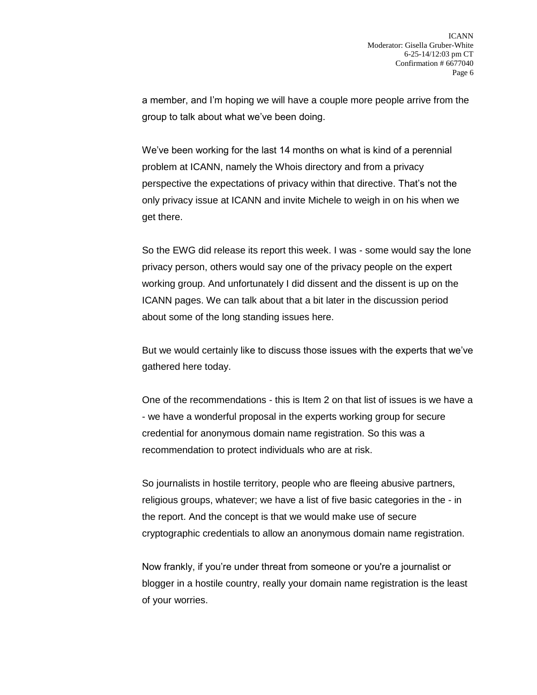a member, and I'm hoping we will have a couple more people arrive from the group to talk about what we've been doing.

We've been working for the last 14 months on what is kind of a perennial problem at ICANN, namely the Whois directory and from a privacy perspective the expectations of privacy within that directive. That's not the only privacy issue at ICANN and invite Michele to weigh in on his when we get there.

So the EWG did release its report this week. I was - some would say the lone privacy person, others would say one of the privacy people on the expert working group. And unfortunately I did dissent and the dissent is up on the ICANN pages. We can talk about that a bit later in the discussion period about some of the long standing issues here.

But we would certainly like to discuss those issues with the experts that we've gathered here today.

One of the recommendations - this is Item 2 on that list of issues is we have a - we have a wonderful proposal in the experts working group for secure credential for anonymous domain name registration. So this was a recommendation to protect individuals who are at risk.

So journalists in hostile territory, people who are fleeing abusive partners, religious groups, whatever; we have a list of five basic categories in the - in the report. And the concept is that we would make use of secure cryptographic credentials to allow an anonymous domain name registration.

Now frankly, if you're under threat from someone or you're a journalist or blogger in a hostile country, really your domain name registration is the least of your worries.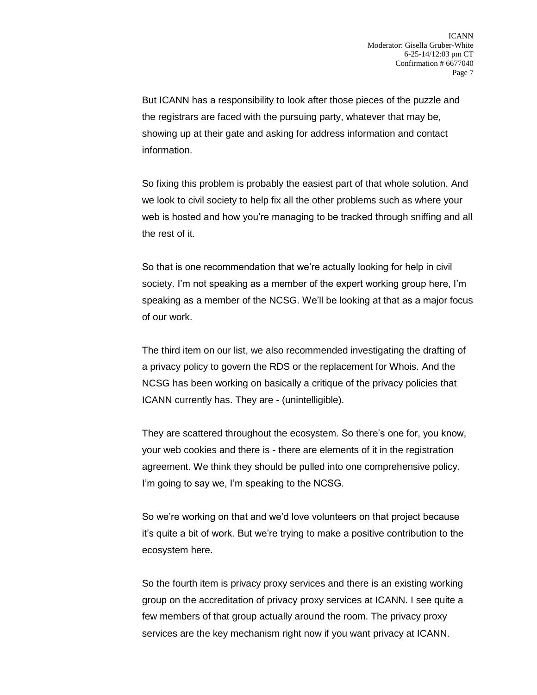But ICANN has a responsibility to look after those pieces of the puzzle and the registrars are faced with the pursuing party, whatever that may be, showing up at their gate and asking for address information and contact information.

So fixing this problem is probably the easiest part of that whole solution. And we look to civil society to help fix all the other problems such as where your web is hosted and how you're managing to be tracked through sniffing and all the rest of it.

So that is one recommendation that we're actually looking for help in civil society. I'm not speaking as a member of the expert working group here, I'm speaking as a member of the NCSG. We'll be looking at that as a major focus of our work.

The third item on our list, we also recommended investigating the drafting of a privacy policy to govern the RDS or the replacement for Whois. And the NCSG has been working on basically a critique of the privacy policies that ICANN currently has. They are - (unintelligible).

They are scattered throughout the ecosystem. So there's one for, you know, your web cookies and there is - there are elements of it in the registration agreement. We think they should be pulled into one comprehensive policy. I'm going to say we, I'm speaking to the NCSG.

So we're working on that and we'd love volunteers on that project because it's quite a bit of work. But we're trying to make a positive contribution to the ecosystem here.

So the fourth item is privacy proxy services and there is an existing working group on the accreditation of privacy proxy services at ICANN. I see quite a few members of that group actually around the room. The privacy proxy services are the key mechanism right now if you want privacy at ICANN.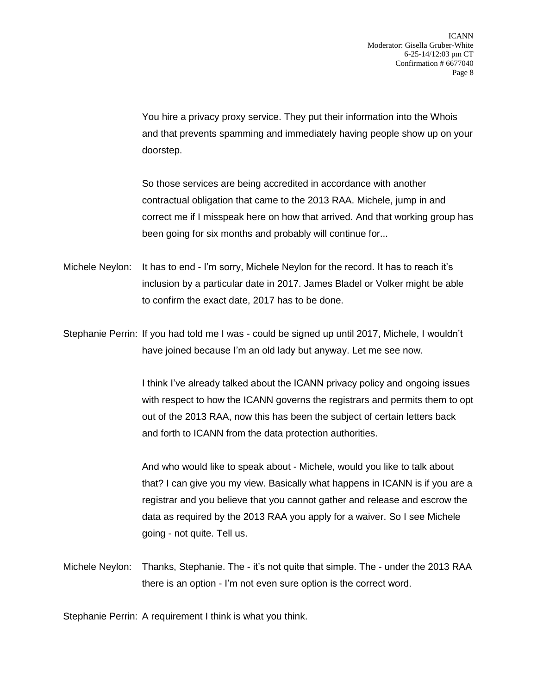You hire a privacy proxy service. They put their information into the Whois and that prevents spamming and immediately having people show up on your doorstep.

So those services are being accredited in accordance with another contractual obligation that came to the 2013 RAA. Michele, jump in and correct me if I misspeak here on how that arrived. And that working group has been going for six months and probably will continue for...

Michele Neylon: It has to end - I'm sorry, Michele Neylon for the record. It has to reach it's inclusion by a particular date in 2017. James Bladel or Volker might be able to confirm the exact date, 2017 has to be done.

Stephanie Perrin: If you had told me I was - could be signed up until 2017, Michele, I wouldn't have joined because I'm an old lady but anyway. Let me see now.

> I think I've already talked about the ICANN privacy policy and ongoing issues with respect to how the ICANN governs the registrars and permits them to opt out of the 2013 RAA, now this has been the subject of certain letters back and forth to ICANN from the data protection authorities.

> And who would like to speak about - Michele, would you like to talk about that? I can give you my view. Basically what happens in ICANN is if you are a registrar and you believe that you cannot gather and release and escrow the data as required by the 2013 RAA you apply for a waiver. So I see Michele going - not quite. Tell us.

Michele Neylon: Thanks, Stephanie. The - it's not quite that simple. The - under the 2013 RAA there is an option - I'm not even sure option is the correct word.

Stephanie Perrin: A requirement I think is what you think.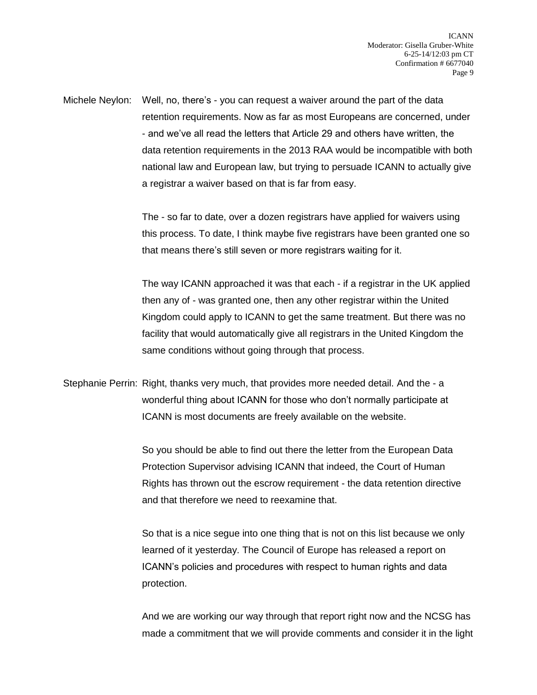Michele Neylon: Well, no, there's - you can request a waiver around the part of the data retention requirements. Now as far as most Europeans are concerned, under - and we've all read the letters that Article 29 and others have written, the data retention requirements in the 2013 RAA would be incompatible with both national law and European law, but trying to persuade ICANN to actually give a registrar a waiver based on that is far from easy.

> The - so far to date, over a dozen registrars have applied for waivers using this process. To date, I think maybe five registrars have been granted one so that means there's still seven or more registrars waiting for it.

> The way ICANN approached it was that each - if a registrar in the UK applied then any of - was granted one, then any other registrar within the United Kingdom could apply to ICANN to get the same treatment. But there was no facility that would automatically give all registrars in the United Kingdom the same conditions without going through that process.

Stephanie Perrin: Right, thanks very much, that provides more needed detail. And the - a wonderful thing about ICANN for those who don't normally participate at ICANN is most documents are freely available on the website.

> So you should be able to find out there the letter from the European Data Protection Supervisor advising ICANN that indeed, the Court of Human Rights has thrown out the escrow requirement - the data retention directive and that therefore we need to reexamine that.

So that is a nice segue into one thing that is not on this list because we only learned of it yesterday. The Council of Europe has released a report on ICANN's policies and procedures with respect to human rights and data protection.

And we are working our way through that report right now and the NCSG has made a commitment that we will provide comments and consider it in the light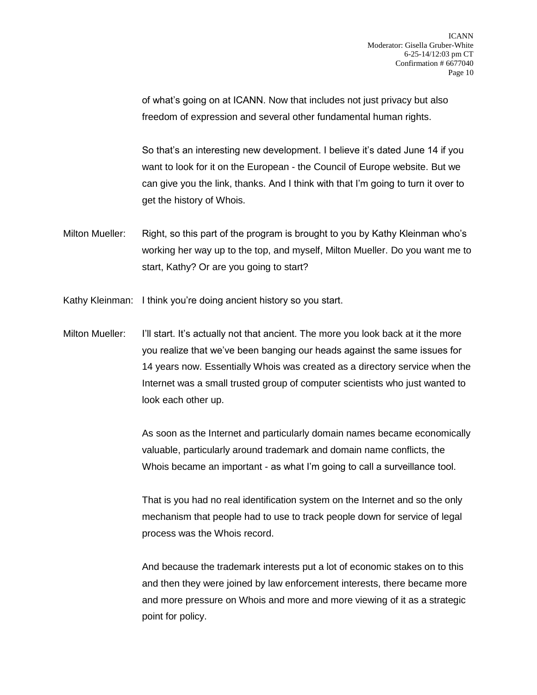of what's going on at ICANN. Now that includes not just privacy but also freedom of expression and several other fundamental human rights.

So that's an interesting new development. I believe it's dated June 14 if you want to look for it on the European - the Council of Europe website. But we can give you the link, thanks. And I think with that I'm going to turn it over to get the history of Whois.

- Milton Mueller: Right, so this part of the program is brought to you by Kathy Kleinman who's working her way up to the top, and myself, Milton Mueller. Do you want me to start, Kathy? Or are you going to start?
- Kathy Kleinman: I think you're doing ancient history so you start.

Milton Mueller: I'll start. It's actually not that ancient. The more you look back at it the more you realize that we've been banging our heads against the same issues for 14 years now. Essentially Whois was created as a directory service when the Internet was a small trusted group of computer scientists who just wanted to look each other up.

> As soon as the Internet and particularly domain names became economically valuable, particularly around trademark and domain name conflicts, the Whois became an important - as what I'm going to call a surveillance tool.

That is you had no real identification system on the Internet and so the only mechanism that people had to use to track people down for service of legal process was the Whois record.

And because the trademark interests put a lot of economic stakes on to this and then they were joined by law enforcement interests, there became more and more pressure on Whois and more and more viewing of it as a strategic point for policy.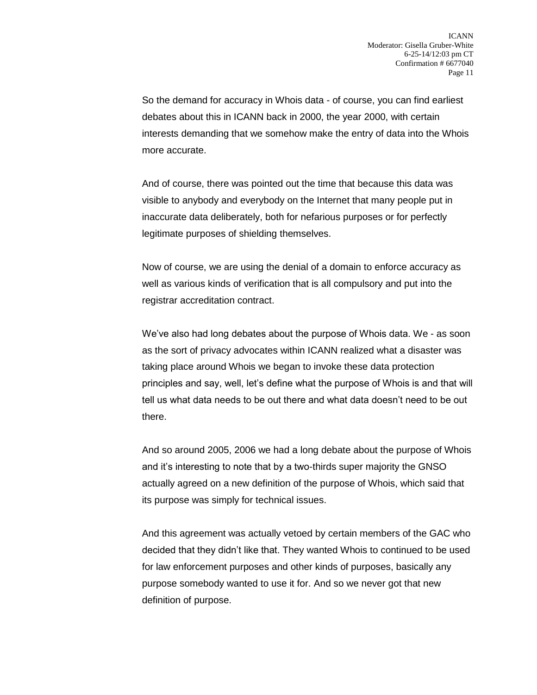So the demand for accuracy in Whois data - of course, you can find earliest debates about this in ICANN back in 2000, the year 2000, with certain interests demanding that we somehow make the entry of data into the Whois more accurate.

And of course, there was pointed out the time that because this data was visible to anybody and everybody on the Internet that many people put in inaccurate data deliberately, both for nefarious purposes or for perfectly legitimate purposes of shielding themselves.

Now of course, we are using the denial of a domain to enforce accuracy as well as various kinds of verification that is all compulsory and put into the registrar accreditation contract.

We've also had long debates about the purpose of Whois data. We - as soon as the sort of privacy advocates within ICANN realized what a disaster was taking place around Whois we began to invoke these data protection principles and say, well, let's define what the purpose of Whois is and that will tell us what data needs to be out there and what data doesn't need to be out there.

And so around 2005, 2006 we had a long debate about the purpose of Whois and it's interesting to note that by a two-thirds super majority the GNSO actually agreed on a new definition of the purpose of Whois, which said that its purpose was simply for technical issues.

And this agreement was actually vetoed by certain members of the GAC who decided that they didn't like that. They wanted Whois to continued to be used for law enforcement purposes and other kinds of purposes, basically any purpose somebody wanted to use it for. And so we never got that new definition of purpose.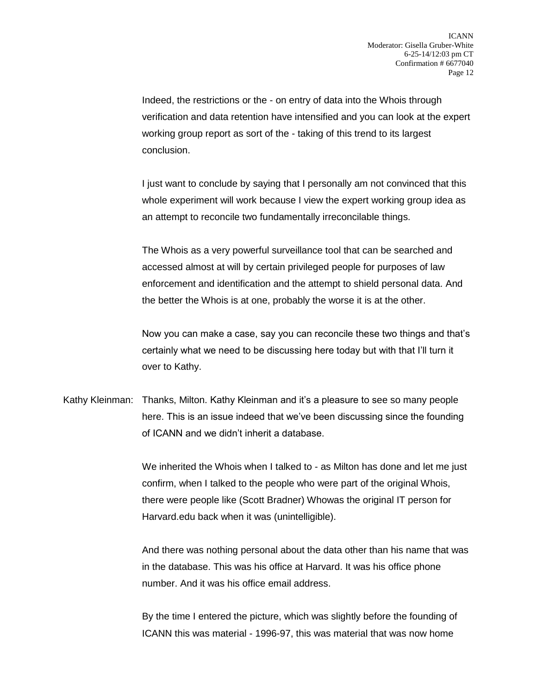Indeed, the restrictions or the - on entry of data into the Whois through verification and data retention have intensified and you can look at the expert working group report as sort of the - taking of this trend to its largest conclusion.

I just want to conclude by saying that I personally am not convinced that this whole experiment will work because I view the expert working group idea as an attempt to reconcile two fundamentally irreconcilable things.

The Whois as a very powerful surveillance tool that can be searched and accessed almost at will by certain privileged people for purposes of law enforcement and identification and the attempt to shield personal data. And the better the Whois is at one, probably the worse it is at the other.

Now you can make a case, say you can reconcile these two things and that's certainly what we need to be discussing here today but with that I'll turn it over to Kathy.

Kathy Kleinman: Thanks, Milton. Kathy Kleinman and it's a pleasure to see so many people here. This is an issue indeed that we've been discussing since the founding of ICANN and we didn't inherit a database.

> We inherited the Whois when I talked to - as Milton has done and let me just confirm, when I talked to the people who were part of the original Whois, there were people like (Scott Bradner) Whowas the original IT person for Harvard.edu back when it was (unintelligible).

> And there was nothing personal about the data other than his name that was in the database. This was his office at Harvard. It was his office phone number. And it was his office email address.

By the time I entered the picture, which was slightly before the founding of ICANN this was material - 1996-97, this was material that was now home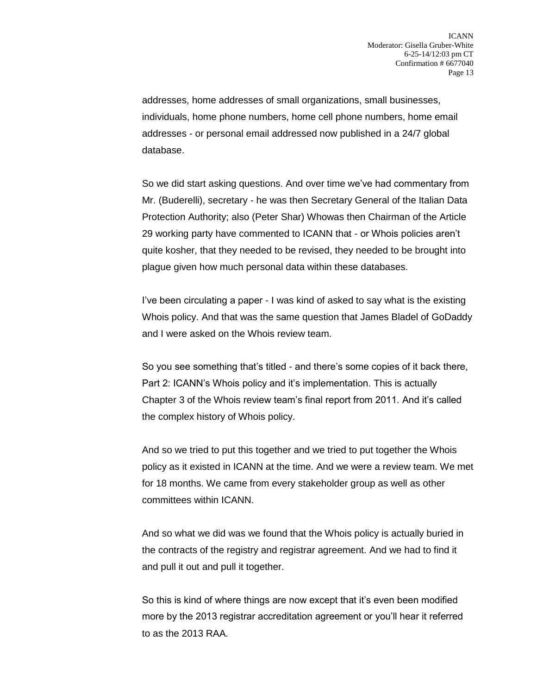addresses, home addresses of small organizations, small businesses, individuals, home phone numbers, home cell phone numbers, home email addresses - or personal email addressed now published in a 24/7 global database.

So we did start asking questions. And over time we've had commentary from Mr. (Buderelli), secretary - he was then Secretary General of the Italian Data Protection Authority; also (Peter Shar) Whowas then Chairman of the Article 29 working party have commented to ICANN that - or Whois policies aren't quite kosher, that they needed to be revised, they needed to be brought into plague given how much personal data within these databases.

I've been circulating a paper - I was kind of asked to say what is the existing Whois policy. And that was the same question that James Bladel of GoDaddy and I were asked on the Whois review team.

So you see something that's titled - and there's some copies of it back there, Part 2: ICANN's Whois policy and it's implementation. This is actually Chapter 3 of the Whois review team's final report from 2011. And it's called the complex history of Whois policy.

And so we tried to put this together and we tried to put together the Whois policy as it existed in ICANN at the time. And we were a review team. We met for 18 months. We came from every stakeholder group as well as other committees within ICANN.

And so what we did was we found that the Whois policy is actually buried in the contracts of the registry and registrar agreement. And we had to find it and pull it out and pull it together.

So this is kind of where things are now except that it's even been modified more by the 2013 registrar accreditation agreement or you'll hear it referred to as the 2013 RAA.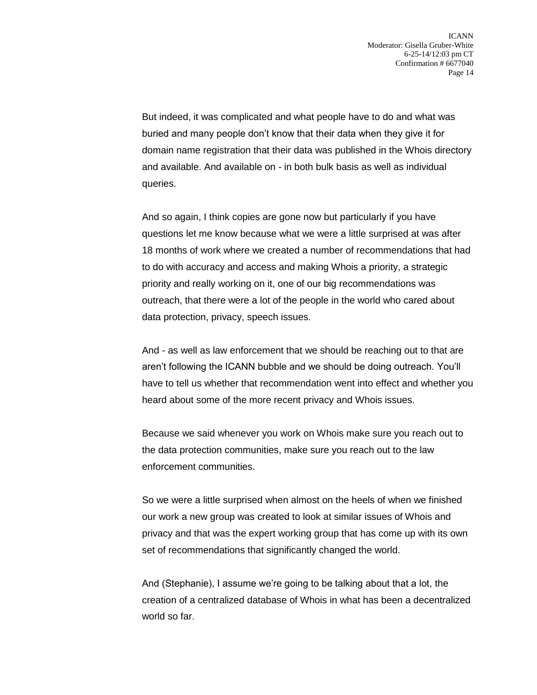But indeed, it was complicated and what people have to do and what was buried and many people don't know that their data when they give it for domain name registration that their data was published in the Whois directory and available. And available on - in both bulk basis as well as individual queries.

And so again, I think copies are gone now but particularly if you have questions let me know because what we were a little surprised at was after 18 months of work where we created a number of recommendations that had to do with accuracy and access and making Whois a priority, a strategic priority and really working on it, one of our big recommendations was outreach, that there were a lot of the people in the world who cared about data protection, privacy, speech issues.

And - as well as law enforcement that we should be reaching out to that are aren't following the ICANN bubble and we should be doing outreach. You'll have to tell us whether that recommendation went into effect and whether you heard about some of the more recent privacy and Whois issues.

Because we said whenever you work on Whois make sure you reach out to the data protection communities, make sure you reach out to the law enforcement communities.

So we were a little surprised when almost on the heels of when we finished our work a new group was created to look at similar issues of Whois and privacy and that was the expert working group that has come up with its own set of recommendations that significantly changed the world.

And (Stephanie), I assume we're going to be talking about that a lot, the creation of a centralized database of Whois in what has been a decentralized world so far.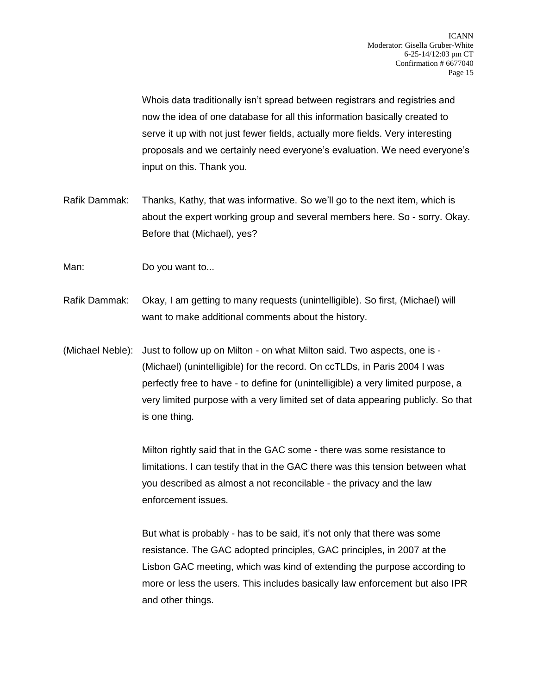Whois data traditionally isn't spread between registrars and registries and now the idea of one database for all this information basically created to serve it up with not just fewer fields, actually more fields. Very interesting proposals and we certainly need everyone's evaluation. We need everyone's input on this. Thank you.

- Rafik Dammak: Thanks, Kathy, that was informative. So we'll go to the next item, which is about the expert working group and several members here. So - sorry. Okay. Before that (Michael), yes?
- Man: Do you want to...
- Rafik Dammak: Okay, I am getting to many requests (unintelligible). So first, (Michael) will want to make additional comments about the history.
- (Michael Neble): Just to follow up on Milton on what Milton said. Two aspects, one is (Michael) (unintelligible) for the record. On ccTLDs, in Paris 2004 I was perfectly free to have - to define for (unintelligible) a very limited purpose, a very limited purpose with a very limited set of data appearing publicly. So that is one thing.

Milton rightly said that in the GAC some - there was some resistance to limitations. I can testify that in the GAC there was this tension between what you described as almost a not reconcilable - the privacy and the law enforcement issues.

But what is probably - has to be said, it's not only that there was some resistance. The GAC adopted principles, GAC principles, in 2007 at the Lisbon GAC meeting, which was kind of extending the purpose according to more or less the users. This includes basically law enforcement but also IPR and other things.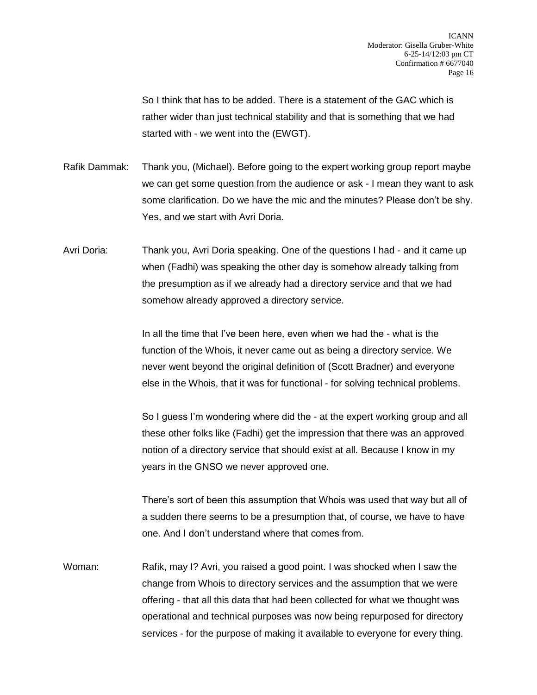So I think that has to be added. There is a statement of the GAC which is rather wider than just technical stability and that is something that we had started with - we went into the (EWGT).

- Rafik Dammak: Thank you, (Michael). Before going to the expert working group report maybe we can get some question from the audience or ask - I mean they want to ask some clarification. Do we have the mic and the minutes? Please don't be shy. Yes, and we start with Avri Doria.
- Avri Doria: Thank you, Avri Doria speaking. One of the questions I had and it came up when (Fadhi) was speaking the other day is somehow already talking from the presumption as if we already had a directory service and that we had somehow already approved a directory service.

In all the time that I've been here, even when we had the - what is the function of the Whois, it never came out as being a directory service. We never went beyond the original definition of (Scott Bradner) and everyone else in the Whois, that it was for functional - for solving technical problems.

So I guess I'm wondering where did the - at the expert working group and all these other folks like (Fadhi) get the impression that there was an approved notion of a directory service that should exist at all. Because I know in my years in the GNSO we never approved one.

There's sort of been this assumption that Whois was used that way but all of a sudden there seems to be a presumption that, of course, we have to have one. And I don't understand where that comes from.

Woman: Rafik, may I? Avri, you raised a good point. I was shocked when I saw the change from Whois to directory services and the assumption that we were offering - that all this data that had been collected for what we thought was operational and technical purposes was now being repurposed for directory services - for the purpose of making it available to everyone for every thing.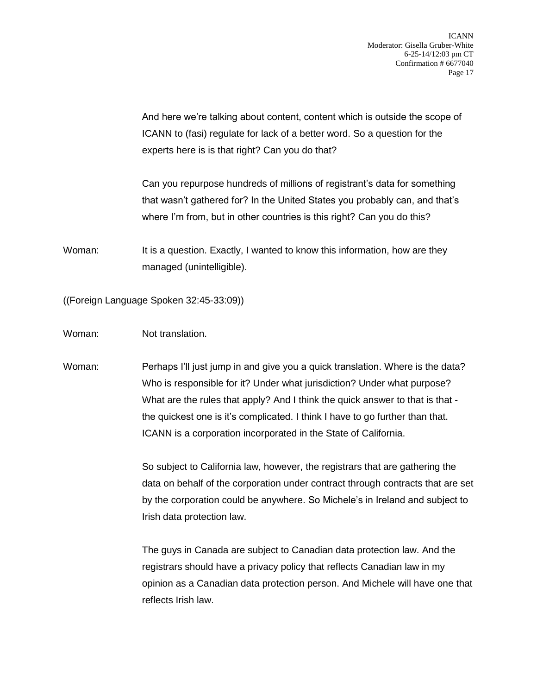And here we're talking about content, content which is outside the scope of ICANN to (fasi) regulate for lack of a better word. So a question for the experts here is is that right? Can you do that?

Can you repurpose hundreds of millions of registrant's data for something that wasn't gathered for? In the United States you probably can, and that's where I'm from, but in other countries is this right? Can you do this?

Woman: It is a question. Exactly, I wanted to know this information, how are they managed (unintelligible).

((Foreign Language Spoken 32:45-33:09))

Woman: Not translation.

Woman: Perhaps I'll just jump in and give you a quick translation. Where is the data? Who is responsible for it? Under what jurisdiction? Under what purpose? What are the rules that apply? And I think the quick answer to that is that the quickest one is it's complicated. I think I have to go further than that. ICANN is a corporation incorporated in the State of California.

> So subject to California law, however, the registrars that are gathering the data on behalf of the corporation under contract through contracts that are set by the corporation could be anywhere. So Michele's in Ireland and subject to Irish data protection law.

> The guys in Canada are subject to Canadian data protection law. And the registrars should have a privacy policy that reflects Canadian law in my opinion as a Canadian data protection person. And Michele will have one that reflects Irish law.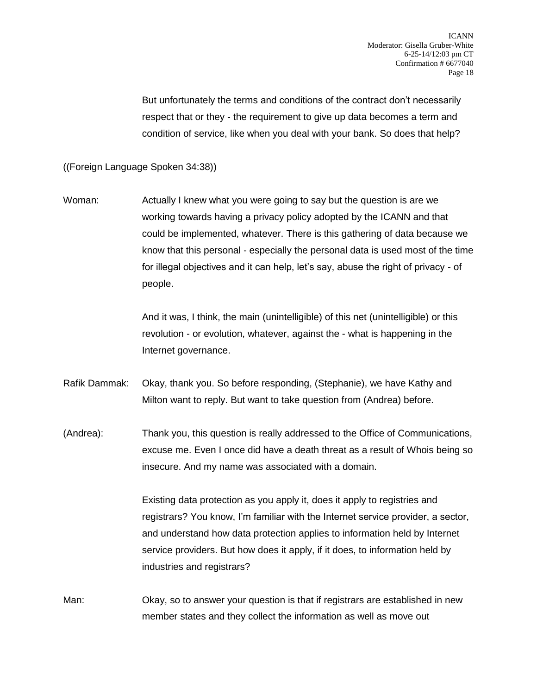But unfortunately the terms and conditions of the contract don't necessarily respect that or they - the requirement to give up data becomes a term and condition of service, like when you deal with your bank. So does that help?

((Foreign Language Spoken 34:38))

Woman: Actually I knew what you were going to say but the question is are we working towards having a privacy policy adopted by the ICANN and that could be implemented, whatever. There is this gathering of data because we know that this personal - especially the personal data is used most of the time for illegal objectives and it can help, let's say, abuse the right of privacy - of people.

> And it was, I think, the main (unintelligible) of this net (unintelligible) or this revolution - or evolution, whatever, against the - what is happening in the Internet governance.

Rafik Dammak: Okay, thank you. So before responding, (Stephanie), we have Kathy and Milton want to reply. But want to take question from (Andrea) before.

(Andrea): Thank you, this question is really addressed to the Office of Communications, excuse me. Even I once did have a death threat as a result of Whois being so insecure. And my name was associated with a domain.

> Existing data protection as you apply it, does it apply to registries and registrars? You know, I'm familiar with the Internet service provider, a sector, and understand how data protection applies to information held by Internet service providers. But how does it apply, if it does, to information held by industries and registrars?

Man: Okay, so to answer your question is that if registrars are established in new member states and they collect the information as well as move out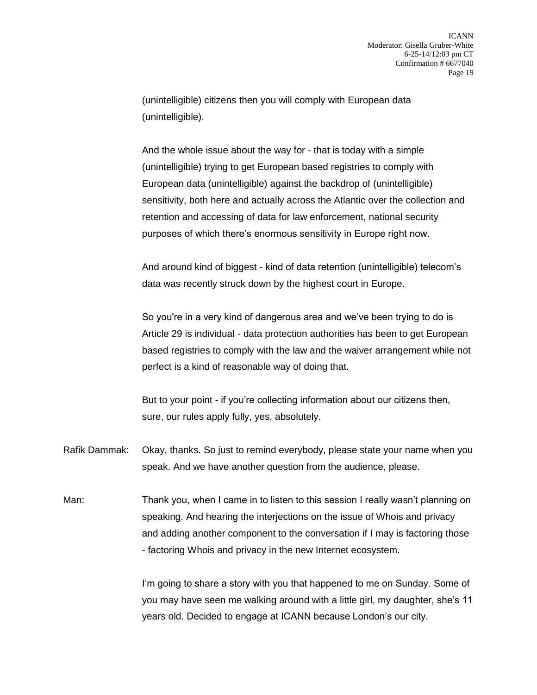(unintelligible) citizens then you will comply with European data (unintelligible).

And the whole issue about the way for - that is today with a simple (unintelligible) trying to get European based registries to comply with European data (unintelligible) against the backdrop of (unintelligible) sensitivity, both here and actually across the Atlantic over the collection and retention and accessing of data for law enforcement, national security purposes of which there's enormous sensitivity in Europe right now.

And around kind of biggest - kind of data retention (unintelligible) telecom's data was recently struck down by the highest court in Europe.

So you're in a very kind of dangerous area and we've been trying to do is Article 29 is individual - data protection authorities has been to get European based registries to comply with the law and the waiver arrangement while not perfect is a kind of reasonable way of doing that.

But to your point - if you're collecting information about our citizens then, sure, our rules apply fully, yes, absolutely.

- Rafik Dammak: Okay, thanks. So just to remind everybody, please state your name when you speak. And we have another question from the audience, please.
- Man: Thank you, when I came in to listen to this session I really wasn't planning on speaking. And hearing the interjections on the issue of Whois and privacy and adding another component to the conversation if I may is factoring those - factoring Whois and privacy in the new Internet ecosystem.

I'm going to share a story with you that happened to me on Sunday. Some of you may have seen me walking around with a little girl, my daughter, she's 11 years old. Decided to engage at ICANN because London's our city.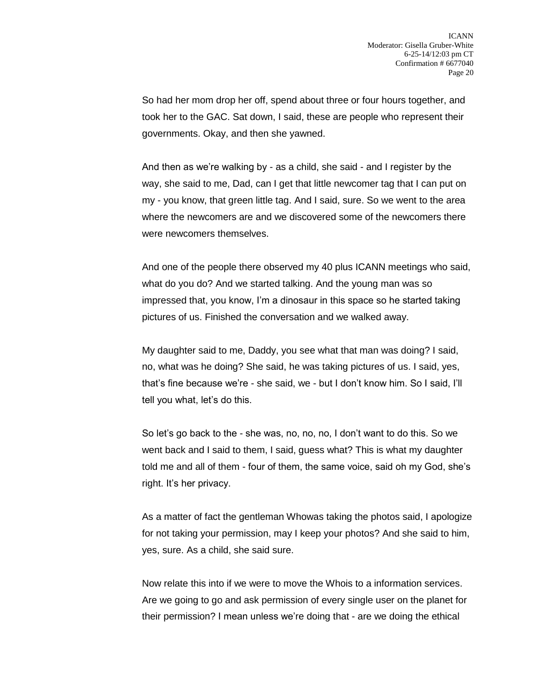So had her mom drop her off, spend about three or four hours together, and took her to the GAC. Sat down, I said, these are people who represent their governments. Okay, and then she yawned.

And then as we're walking by - as a child, she said - and I register by the way, she said to me, Dad, can I get that little newcomer tag that I can put on my - you know, that green little tag. And I said, sure. So we went to the area where the newcomers are and we discovered some of the newcomers there were newcomers themselves.

And one of the people there observed my 40 plus ICANN meetings who said, what do you do? And we started talking. And the young man was so impressed that, you know, I'm a dinosaur in this space so he started taking pictures of us. Finished the conversation and we walked away.

My daughter said to me, Daddy, you see what that man was doing? I said, no, what was he doing? She said, he was taking pictures of us. I said, yes, that's fine because we're - she said, we - but I don't know him. So I said, I'll tell you what, let's do this.

So let's go back to the - she was, no, no, no, I don't want to do this. So we went back and I said to them, I said, guess what? This is what my daughter told me and all of them - four of them, the same voice, said oh my God, she's right. It's her privacy.

As a matter of fact the gentleman Whowas taking the photos said, I apologize for not taking your permission, may I keep your photos? And she said to him, yes, sure. As a child, she said sure.

Now relate this into if we were to move the Whois to a information services. Are we going to go and ask permission of every single user on the planet for their permission? I mean unless we're doing that - are we doing the ethical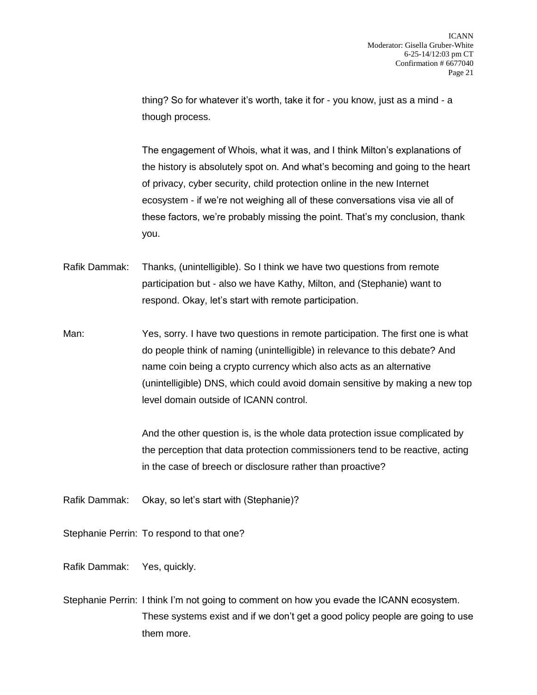thing? So for whatever it's worth, take it for - you know, just as a mind - a though process.

The engagement of Whois, what it was, and I think Milton's explanations of the history is absolutely spot on. And what's becoming and going to the heart of privacy, cyber security, child protection online in the new Internet ecosystem - if we're not weighing all of these conversations visa vie all of these factors, we're probably missing the point. That's my conclusion, thank you.

Rafik Dammak: Thanks, (unintelligible). So I think we have two questions from remote participation but - also we have Kathy, Milton, and (Stephanie) want to respond. Okay, let's start with remote participation.

Man: Yes, sorry. I have two questions in remote participation. The first one is what do people think of naming (unintelligible) in relevance to this debate? And name coin being a crypto currency which also acts as an alternative (unintelligible) DNS, which could avoid domain sensitive by making a new top level domain outside of ICANN control.

> And the other question is, is the whole data protection issue complicated by the perception that data protection commissioners tend to be reactive, acting in the case of breech or disclosure rather than proactive?

Rafik Dammak: Okay, so let's start with (Stephanie)?

Stephanie Perrin: To respond to that one?

Rafik Dammak: Yes, quickly.

Stephanie Perrin: I think I'm not going to comment on how you evade the ICANN ecosystem. These systems exist and if we don't get a good policy people are going to use them more.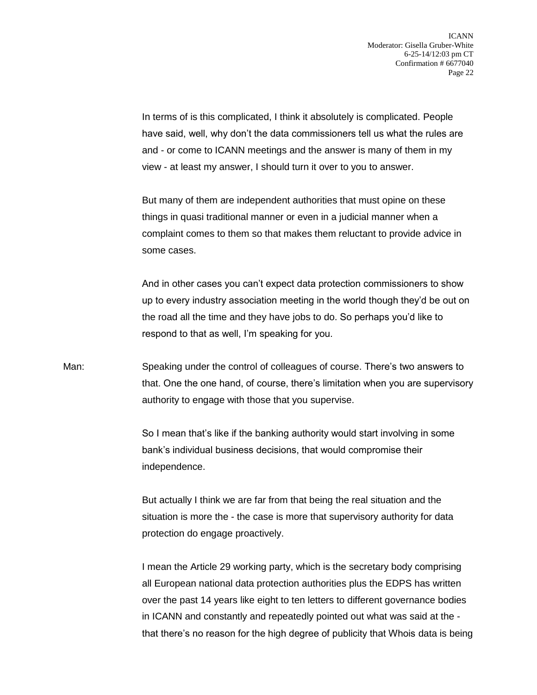In terms of is this complicated, I think it absolutely is complicated. People have said, well, why don't the data commissioners tell us what the rules are and - or come to ICANN meetings and the answer is many of them in my view - at least my answer, I should turn it over to you to answer.

But many of them are independent authorities that must opine on these things in quasi traditional manner or even in a judicial manner when a complaint comes to them so that makes them reluctant to provide advice in some cases.

And in other cases you can't expect data protection commissioners to show up to every industry association meeting in the world though they'd be out on the road all the time and they have jobs to do. So perhaps you'd like to respond to that as well, I'm speaking for you.

Man: Speaking under the control of colleagues of course. There's two answers to that. One the one hand, of course, there's limitation when you are supervisory authority to engage with those that you supervise.

> So I mean that's like if the banking authority would start involving in some bank's individual business decisions, that would compromise their independence.

> But actually I think we are far from that being the real situation and the situation is more the - the case is more that supervisory authority for data protection do engage proactively.

I mean the Article 29 working party, which is the secretary body comprising all European national data protection authorities plus the EDPS has written over the past 14 years like eight to ten letters to different governance bodies in ICANN and constantly and repeatedly pointed out what was said at the that there's no reason for the high degree of publicity that Whois data is being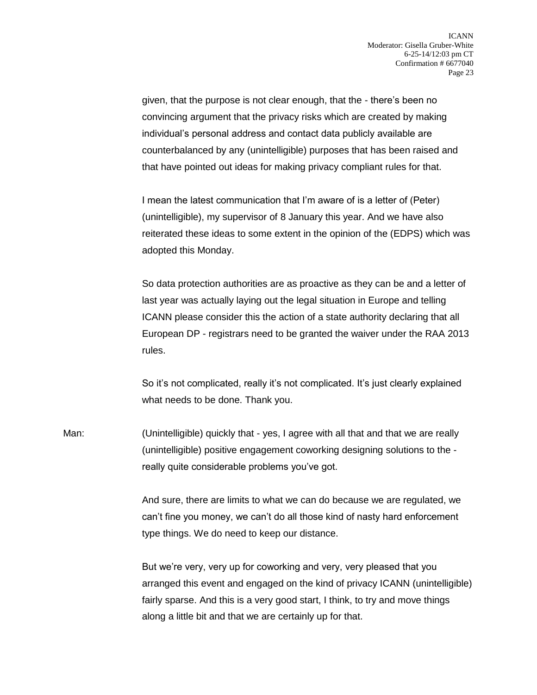given, that the purpose is not clear enough, that the - there's been no convincing argument that the privacy risks which are created by making individual's personal address and contact data publicly available are counterbalanced by any (unintelligible) purposes that has been raised and that have pointed out ideas for making privacy compliant rules for that.

I mean the latest communication that I'm aware of is a letter of (Peter) (unintelligible), my supervisor of 8 January this year. And we have also reiterated these ideas to some extent in the opinion of the (EDPS) which was adopted this Monday.

So data protection authorities are as proactive as they can be and a letter of last year was actually laying out the legal situation in Europe and telling ICANN please consider this the action of a state authority declaring that all European DP - registrars need to be granted the waiver under the RAA 2013 rules.

So it's not complicated, really it's not complicated. It's just clearly explained what needs to be done. Thank you.

Man: (Unintelligible) quickly that - yes, I agree with all that and that we are really (unintelligible) positive engagement coworking designing solutions to the really quite considerable problems you've got.

> And sure, there are limits to what we can do because we are regulated, we can't fine you money, we can't do all those kind of nasty hard enforcement type things. We do need to keep our distance.

But we're very, very up for coworking and very, very pleased that you arranged this event and engaged on the kind of privacy ICANN (unintelligible) fairly sparse. And this is a very good start, I think, to try and move things along a little bit and that we are certainly up for that.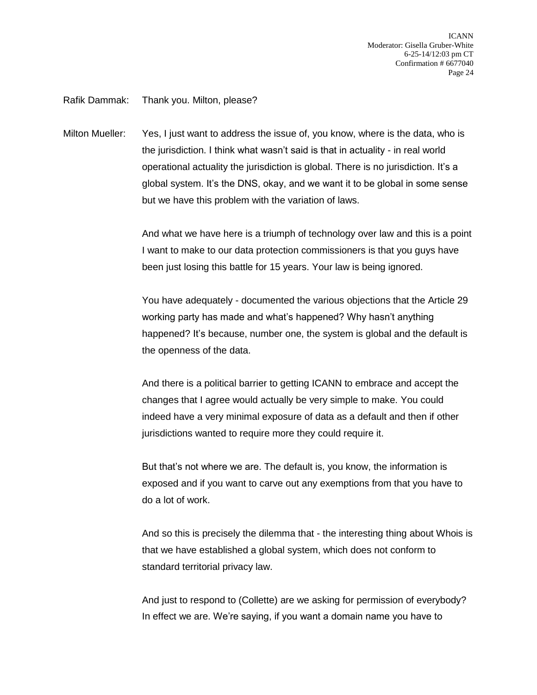Rafik Dammak: Thank you. Milton, please?

Milton Mueller: Yes, I just want to address the issue of, you know, where is the data, who is the jurisdiction. I think what wasn't said is that in actuality - in real world operational actuality the jurisdiction is global. There is no jurisdiction. It's a global system. It's the DNS, okay, and we want it to be global in some sense but we have this problem with the variation of laws.

> And what we have here is a triumph of technology over law and this is a point I want to make to our data protection commissioners is that you guys have been just losing this battle for 15 years. Your law is being ignored.

You have adequately - documented the various objections that the Article 29 working party has made and what's happened? Why hasn't anything happened? It's because, number one, the system is global and the default is the openness of the data.

And there is a political barrier to getting ICANN to embrace and accept the changes that I agree would actually be very simple to make. You could indeed have a very minimal exposure of data as a default and then if other jurisdictions wanted to require more they could require it.

But that's not where we are. The default is, you know, the information is exposed and if you want to carve out any exemptions from that you have to do a lot of work.

And so this is precisely the dilemma that - the interesting thing about Whois is that we have established a global system, which does not conform to standard territorial privacy law.

And just to respond to (Collette) are we asking for permission of everybody? In effect we are. We're saying, if you want a domain name you have to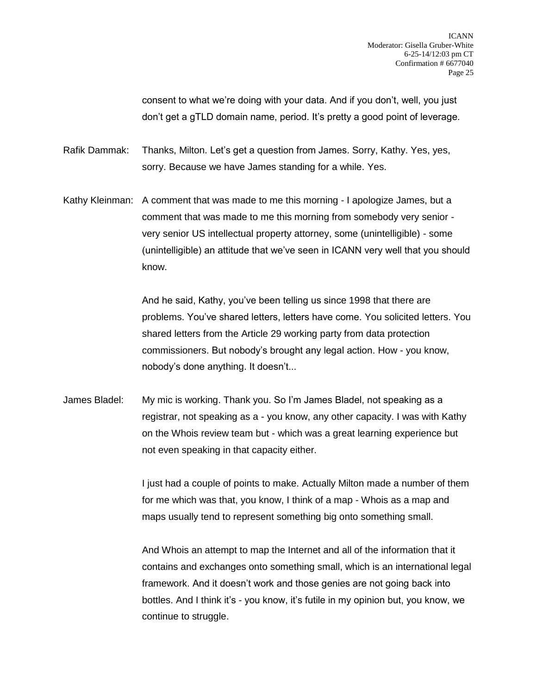consent to what we're doing with your data. And if you don't, well, you just don't get a gTLD domain name, period. It's pretty a good point of leverage.

Rafik Dammak: Thanks, Milton. Let's get a question from James. Sorry, Kathy. Yes, yes, sorry. Because we have James standing for a while. Yes.

Kathy Kleinman: A comment that was made to me this morning - I apologize James, but a comment that was made to me this morning from somebody very senior very senior US intellectual property attorney, some (unintelligible) - some (unintelligible) an attitude that we've seen in ICANN very well that you should know.

> And he said, Kathy, you've been telling us since 1998 that there are problems. You've shared letters, letters have come. You solicited letters. You shared letters from the Article 29 working party from data protection commissioners. But nobody's brought any legal action. How - you know, nobody's done anything. It doesn't...

James Bladel: My mic is working. Thank you. So I'm James Bladel, not speaking as a registrar, not speaking as a - you know, any other capacity. I was with Kathy on the Whois review team but - which was a great learning experience but not even speaking in that capacity either.

> I just had a couple of points to make. Actually Milton made a number of them for me which was that, you know, I think of a map - Whois as a map and maps usually tend to represent something big onto something small.

> And Whois an attempt to map the Internet and all of the information that it contains and exchanges onto something small, which is an international legal framework. And it doesn't work and those genies are not going back into bottles. And I think it's - you know, it's futile in my opinion but, you know, we continue to struggle.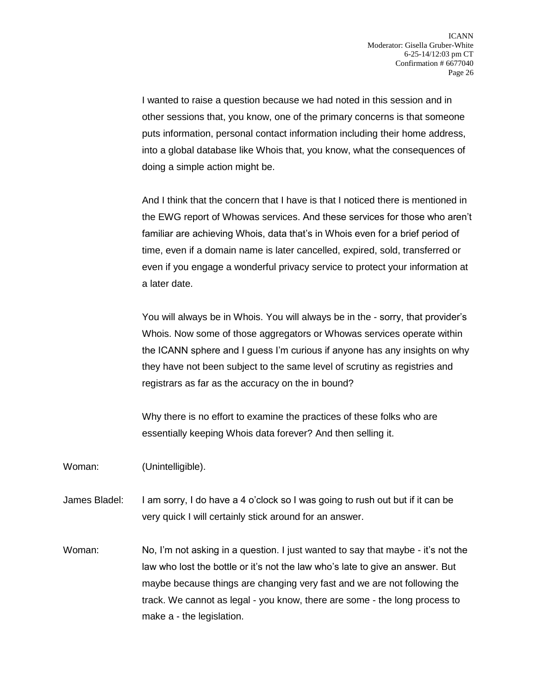I wanted to raise a question because we had noted in this session and in other sessions that, you know, one of the primary concerns is that someone puts information, personal contact information including their home address, into a global database like Whois that, you know, what the consequences of doing a simple action might be.

And I think that the concern that I have is that I noticed there is mentioned in the EWG report of Whowas services. And these services for those who aren't familiar are achieving Whois, data that's in Whois even for a brief period of time, even if a domain name is later cancelled, expired, sold, transferred or even if you engage a wonderful privacy service to protect your information at a later date.

You will always be in Whois. You will always be in the - sorry, that provider's Whois. Now some of those aggregators or Whowas services operate within the ICANN sphere and I guess I'm curious if anyone has any insights on why they have not been subject to the same level of scrutiny as registries and registrars as far as the accuracy on the in bound?

Why there is no effort to examine the practices of these folks who are essentially keeping Whois data forever? And then selling it.

Woman: (Unintelligible).

James Bladel: I am sorry, I do have a 4 o'clock so I was going to rush out but if it can be very quick I will certainly stick around for an answer.

Woman: No, I'm not asking in a question. I just wanted to say that maybe - it's not the law who lost the bottle or it's not the law who's late to give an answer. But maybe because things are changing very fast and we are not following the track. We cannot as legal - you know, there are some - the long process to make a - the legislation.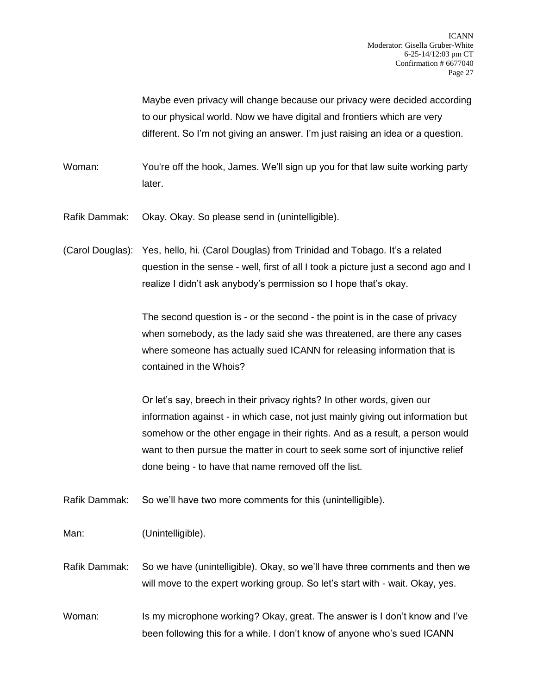Maybe even privacy will change because our privacy were decided according to our physical world. Now we have digital and frontiers which are very different. So I'm not giving an answer. I'm just raising an idea or a question.

Woman: You're off the hook, James. We'll sign up you for that law suite working party later.

Rafik Dammak: Okay. Okay. So please send in (unintelligible).

(Carol Douglas): Yes, hello, hi. (Carol Douglas) from Trinidad and Tobago. It's a related question in the sense - well, first of all I took a picture just a second ago and I realize I didn't ask anybody's permission so I hope that's okay.

> The second question is - or the second - the point is in the case of privacy when somebody, as the lady said she was threatened, are there any cases where someone has actually sued ICANN for releasing information that is contained in the Whois?

Or let's say, breech in their privacy rights? In other words, given our information against - in which case, not just mainly giving out information but somehow or the other engage in their rights. And as a result, a person would want to then pursue the matter in court to seek some sort of injunctive relief done being - to have that name removed off the list.

Rafik Dammak: So we'll have two more comments for this (unintelligible).

Man: (Unintelligible).

Rafik Dammak: So we have (unintelligible). Okay, so we'll have three comments and then we will move to the expert working group. So let's start with - wait. Okay, yes.

Woman: Is my microphone working? Okay, great. The answer is I don't know and I've been following this for a while. I don't know of anyone who's sued ICANN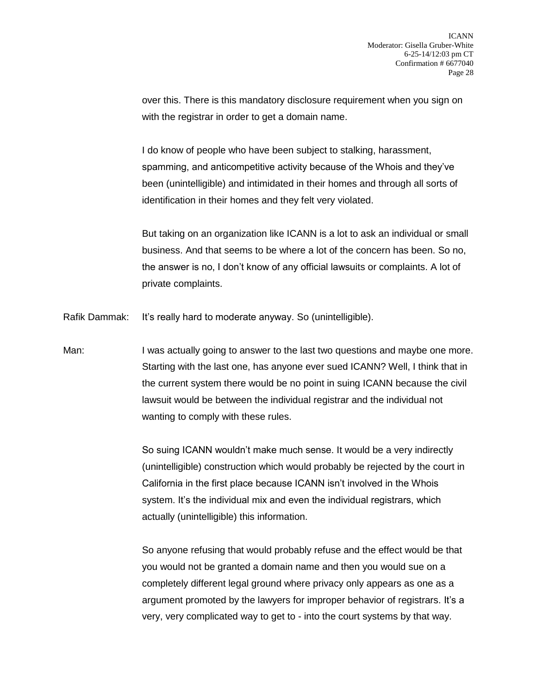over this. There is this mandatory disclosure requirement when you sign on with the registrar in order to get a domain name.

I do know of people who have been subject to stalking, harassment, spamming, and anticompetitive activity because of the Whois and they've been (unintelligible) and intimidated in their homes and through all sorts of identification in their homes and they felt very violated.

But taking on an organization like ICANN is a lot to ask an individual or small business. And that seems to be where a lot of the concern has been. So no, the answer is no, I don't know of any official lawsuits or complaints. A lot of private complaints.

Rafik Dammak: It's really hard to moderate anyway. So (unintelligible).

Man: I was actually going to answer to the last two questions and maybe one more. Starting with the last one, has anyone ever sued ICANN? Well, I think that in the current system there would be no point in suing ICANN because the civil lawsuit would be between the individual registrar and the individual not wanting to comply with these rules.

> So suing ICANN wouldn't make much sense. It would be a very indirectly (unintelligible) construction which would probably be rejected by the court in California in the first place because ICANN isn't involved in the Whois system. It's the individual mix and even the individual registrars, which actually (unintelligible) this information.

> So anyone refusing that would probably refuse and the effect would be that you would not be granted a domain name and then you would sue on a completely different legal ground where privacy only appears as one as a argument promoted by the lawyers for improper behavior of registrars. It's a very, very complicated way to get to - into the court systems by that way.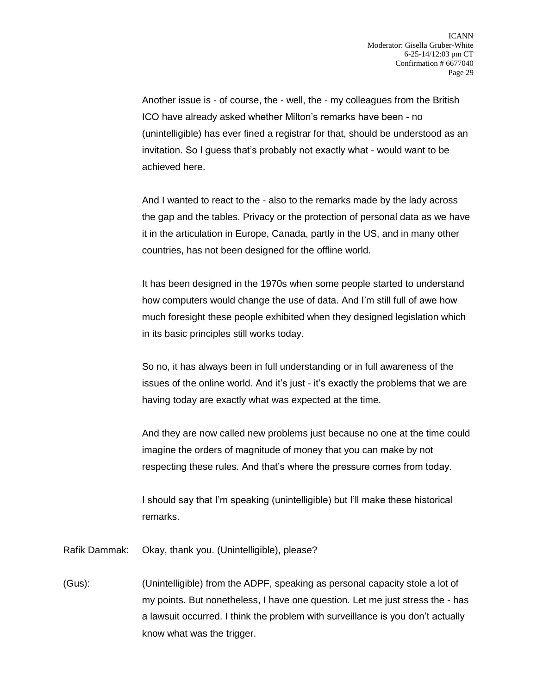Another issue is - of course, the - well, the - my colleagues from the British ICO have already asked whether Milton's remarks have been - no (unintelligible) has ever fined a registrar for that, should be understood as an invitation. So I guess that's probably not exactly what - would want to be achieved here.

And I wanted to react to the - also to the remarks made by the lady across the gap and the tables. Privacy or the protection of personal data as we have it in the articulation in Europe, Canada, partly in the US, and in many other countries, has not been designed for the offline world.

It has been designed in the 1970s when some people started to understand how computers would change the use of data. And I'm still full of awe how much foresight these people exhibited when they designed legislation which in its basic principles still works today.

So no, it has always been in full understanding or in full awareness of the issues of the online world. And it's just - it's exactly the problems that we are having today are exactly what was expected at the time.

And they are now called new problems just because no one at the time could imagine the orders of magnitude of money that you can make by not respecting these rules. And that's where the pressure comes from today.

I should say that I'm speaking (unintelligible) but I'll make these historical remarks.

Rafik Dammak: Okay, thank you. (Unintelligible), please?

(Gus): (Unintelligible) from the ADPF, speaking as personal capacity stole a lot of my points. But nonetheless, I have one question. Let me just stress the - has a lawsuit occurred. I think the problem with surveillance is you don't actually know what was the trigger.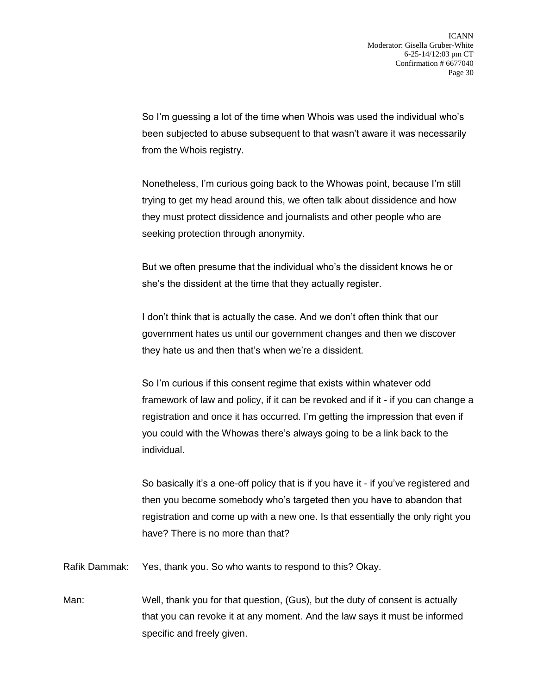So I'm guessing a lot of the time when Whois was used the individual who's been subjected to abuse subsequent to that wasn't aware it was necessarily from the Whois registry.

Nonetheless, I'm curious going back to the Whowas point, because I'm still trying to get my head around this, we often talk about dissidence and how they must protect dissidence and journalists and other people who are seeking protection through anonymity.

But we often presume that the individual who's the dissident knows he or she's the dissident at the time that they actually register.

I don't think that is actually the case. And we don't often think that our government hates us until our government changes and then we discover they hate us and then that's when we're a dissident.

So I'm curious if this consent regime that exists within whatever odd framework of law and policy, if it can be revoked and if it - if you can change a registration and once it has occurred. I'm getting the impression that even if you could with the Whowas there's always going to be a link back to the individual.

So basically it's a one-off policy that is if you have it - if you've registered and then you become somebody who's targeted then you have to abandon that registration and come up with a new one. Is that essentially the only right you have? There is no more than that?

Rafik Dammak: Yes, thank you. So who wants to respond to this? Okay.

Man: Well, thank you for that question, (Gus), but the duty of consent is actually that you can revoke it at any moment. And the law says it must be informed specific and freely given.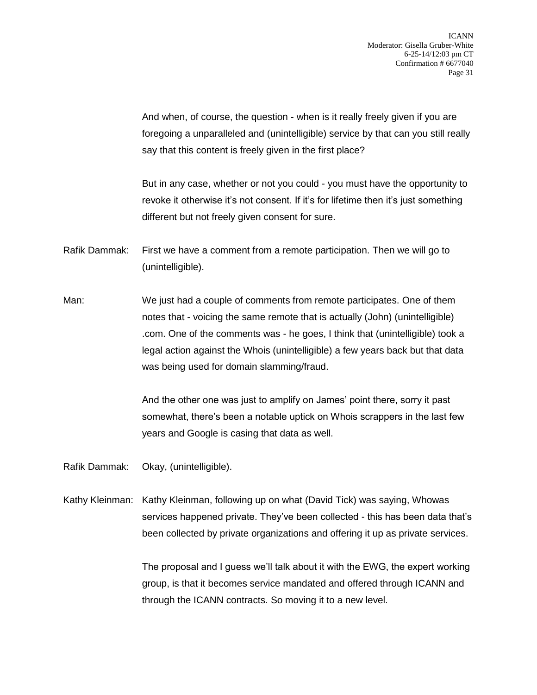And when, of course, the question - when is it really freely given if you are foregoing a unparalleled and (unintelligible) service by that can you still really say that this content is freely given in the first place?

But in any case, whether or not you could - you must have the opportunity to revoke it otherwise it's not consent. If it's for lifetime then it's just something different but not freely given consent for sure.

- Rafik Dammak: First we have a comment from a remote participation. Then we will go to (unintelligible).
- Man: We just had a couple of comments from remote participates. One of them notes that - voicing the same remote that is actually (John) (unintelligible) .com. One of the comments was - he goes, I think that (unintelligible) took a legal action against the Whois (unintelligible) a few years back but that data was being used for domain slamming/fraud.

And the other one was just to amplify on James' point there, sorry it past somewhat, there's been a notable uptick on Whois scrappers in the last few years and Google is casing that data as well.

Rafik Dammak: Okay, (unintelligible).

Kathy Kleinman: Kathy Kleinman, following up on what (David Tick) was saying, Whowas services happened private. They've been collected - this has been data that's been collected by private organizations and offering it up as private services.

> The proposal and I guess we'll talk about it with the EWG, the expert working group, is that it becomes service mandated and offered through ICANN and through the ICANN contracts. So moving it to a new level.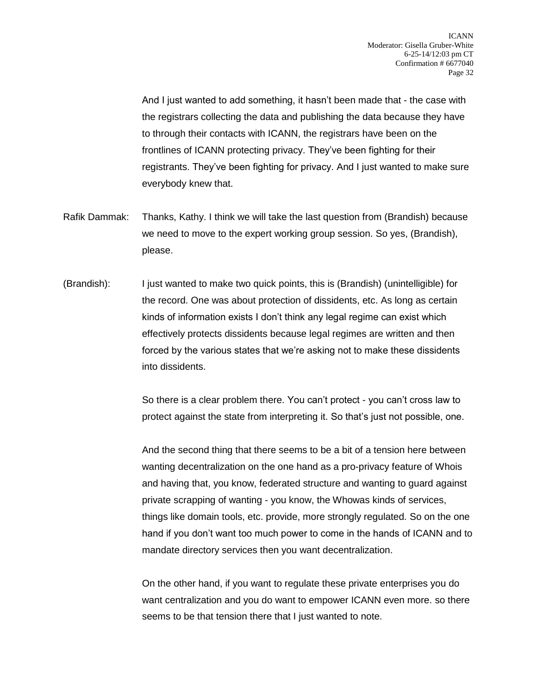And I just wanted to add something, it hasn't been made that - the case with the registrars collecting the data and publishing the data because they have to through their contacts with ICANN, the registrars have been on the frontlines of ICANN protecting privacy. They've been fighting for their registrants. They've been fighting for privacy. And I just wanted to make sure everybody knew that.

- Rafik Dammak: Thanks, Kathy. I think we will take the last question from (Brandish) because we need to move to the expert working group session. So yes, (Brandish), please.
- (Brandish): I just wanted to make two quick points, this is (Brandish) (unintelligible) for the record. One was about protection of dissidents, etc. As long as certain kinds of information exists I don't think any legal regime can exist which effectively protects dissidents because legal regimes are written and then forced by the various states that we're asking not to make these dissidents into dissidents.

So there is a clear problem there. You can't protect - you can't cross law to protect against the state from interpreting it. So that's just not possible, one.

And the second thing that there seems to be a bit of a tension here between wanting decentralization on the one hand as a pro-privacy feature of Whois and having that, you know, federated structure and wanting to guard against private scrapping of wanting - you know, the Whowas kinds of services, things like domain tools, etc. provide, more strongly regulated. So on the one hand if you don't want too much power to come in the hands of ICANN and to mandate directory services then you want decentralization.

On the other hand, if you want to regulate these private enterprises you do want centralization and you do want to empower ICANN even more. so there seems to be that tension there that I just wanted to note.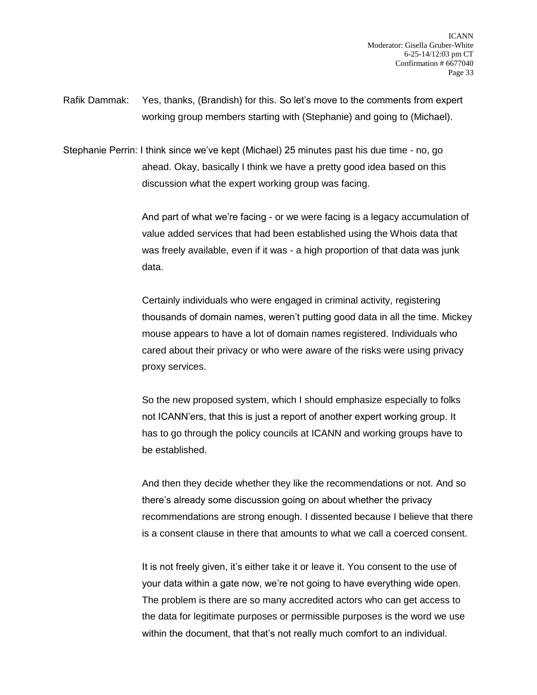Rafik Dammak: Yes, thanks, (Brandish) for this. So let's move to the comments from expert working group members starting with (Stephanie) and going to (Michael).

Stephanie Perrin: I think since we've kept (Michael) 25 minutes past his due time - no, go ahead. Okay, basically I think we have a pretty good idea based on this discussion what the expert working group was facing.

> And part of what we're facing - or we were facing is a legacy accumulation of value added services that had been established using the Whois data that was freely available, even if it was - a high proportion of that data was junk data.

> Certainly individuals who were engaged in criminal activity, registering thousands of domain names, weren't putting good data in all the time. Mickey mouse appears to have a lot of domain names registered. Individuals who cared about their privacy or who were aware of the risks were using privacy proxy services.

So the new proposed system, which I should emphasize especially to folks not ICANN'ers, that this is just a report of another expert working group. It has to go through the policy councils at ICANN and working groups have to be established.

And then they decide whether they like the recommendations or not. And so there's already some discussion going on about whether the privacy recommendations are strong enough. I dissented because I believe that there is a consent clause in there that amounts to what we call a coerced consent.

It is not freely given, it's either take it or leave it. You consent to the use of your data within a gate now, we're not going to have everything wide open. The problem is there are so many accredited actors who can get access to the data for legitimate purposes or permissible purposes is the word we use within the document, that that's not really much comfort to an individual.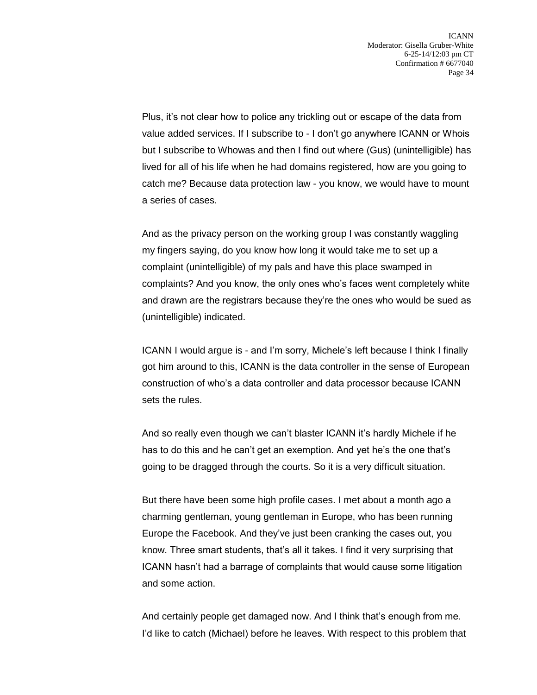Plus, it's not clear how to police any trickling out or escape of the data from value added services. If I subscribe to - I don't go anywhere ICANN or Whois but I subscribe to Whowas and then I find out where (Gus) (unintelligible) has lived for all of his life when he had domains registered, how are you going to catch me? Because data protection law - you know, we would have to mount a series of cases.

And as the privacy person on the working group I was constantly waggling my fingers saying, do you know how long it would take me to set up a complaint (unintelligible) of my pals and have this place swamped in complaints? And you know, the only ones who's faces went completely white and drawn are the registrars because they're the ones who would be sued as (unintelligible) indicated.

ICANN I would argue is - and I'm sorry, Michele's left because I think I finally got him around to this, ICANN is the data controller in the sense of European construction of who's a data controller and data processor because ICANN sets the rules.

And so really even though we can't blaster ICANN it's hardly Michele if he has to do this and he can't get an exemption. And yet he's the one that's going to be dragged through the courts. So it is a very difficult situation.

But there have been some high profile cases. I met about a month ago a charming gentleman, young gentleman in Europe, who has been running Europe the Facebook. And they've just been cranking the cases out, you know. Three smart students, that's all it takes. I find it very surprising that ICANN hasn't had a barrage of complaints that would cause some litigation and some action.

And certainly people get damaged now. And I think that's enough from me. I'd like to catch (Michael) before he leaves. With respect to this problem that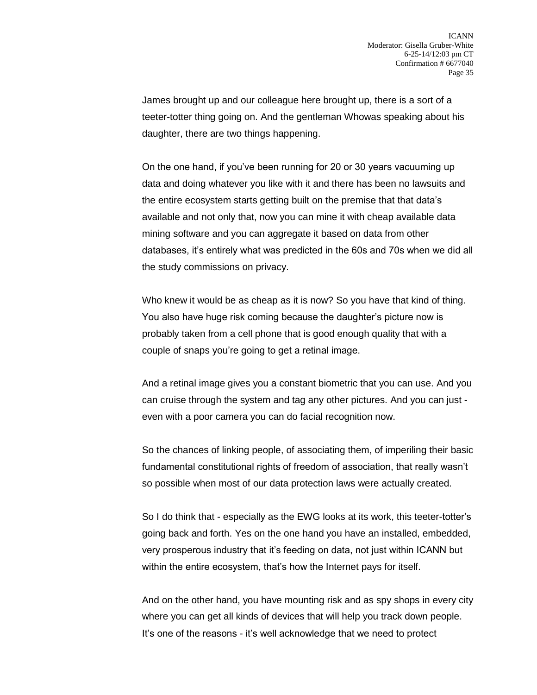James brought up and our colleague here brought up, there is a sort of a teeter-totter thing going on. And the gentleman Whowas speaking about his daughter, there are two things happening.

On the one hand, if you've been running for 20 or 30 years vacuuming up data and doing whatever you like with it and there has been no lawsuits and the entire ecosystem starts getting built on the premise that that data's available and not only that, now you can mine it with cheap available data mining software and you can aggregate it based on data from other databases, it's entirely what was predicted in the 60s and 70s when we did all the study commissions on privacy.

Who knew it would be as cheap as it is now? So you have that kind of thing. You also have huge risk coming because the daughter's picture now is probably taken from a cell phone that is good enough quality that with a couple of snaps you're going to get a retinal image.

And a retinal image gives you a constant biometric that you can use. And you can cruise through the system and tag any other pictures. And you can just even with a poor camera you can do facial recognition now.

So the chances of linking people, of associating them, of imperiling their basic fundamental constitutional rights of freedom of association, that really wasn't so possible when most of our data protection laws were actually created.

So I do think that - especially as the EWG looks at its work, this teeter-totter's going back and forth. Yes on the one hand you have an installed, embedded, very prosperous industry that it's feeding on data, not just within ICANN but within the entire ecosystem, that's how the Internet pays for itself.

And on the other hand, you have mounting risk and as spy shops in every city where you can get all kinds of devices that will help you track down people. It's one of the reasons - it's well acknowledge that we need to protect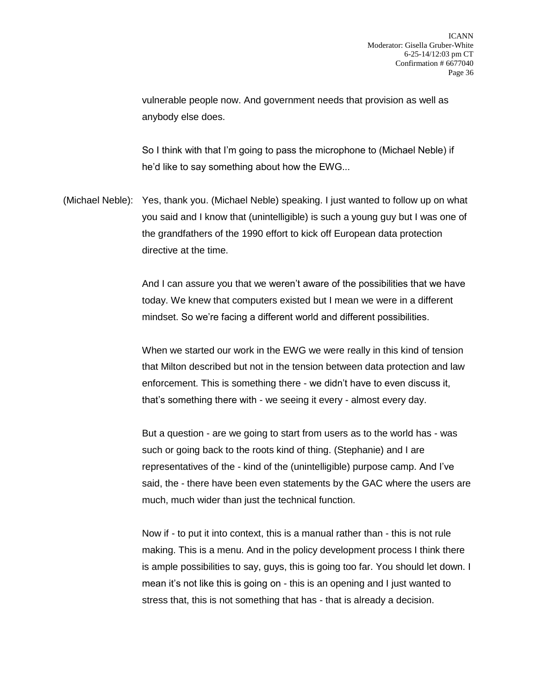vulnerable people now. And government needs that provision as well as anybody else does.

So I think with that I'm going to pass the microphone to (Michael Neble) if he'd like to say something about how the EWG...

(Michael Neble): Yes, thank you. (Michael Neble) speaking. I just wanted to follow up on what you said and I know that (unintelligible) is such a young guy but I was one of the grandfathers of the 1990 effort to kick off European data protection directive at the time.

> And I can assure you that we weren't aware of the possibilities that we have today. We knew that computers existed but I mean we were in a different mindset. So we're facing a different world and different possibilities.

> When we started our work in the EWG we were really in this kind of tension that Milton described but not in the tension between data protection and law enforcement. This is something there - we didn't have to even discuss it, that's something there with - we seeing it every - almost every day.

But a question - are we going to start from users as to the world has - was such or going back to the roots kind of thing. (Stephanie) and I are representatives of the - kind of the (unintelligible) purpose camp. And I've said, the - there have been even statements by the GAC where the users are much, much wider than just the technical function.

Now if - to put it into context, this is a manual rather than - this is not rule making. This is a menu. And in the policy development process I think there is ample possibilities to say, guys, this is going too far. You should let down. I mean it's not like this is going on - this is an opening and I just wanted to stress that, this is not something that has - that is already a decision.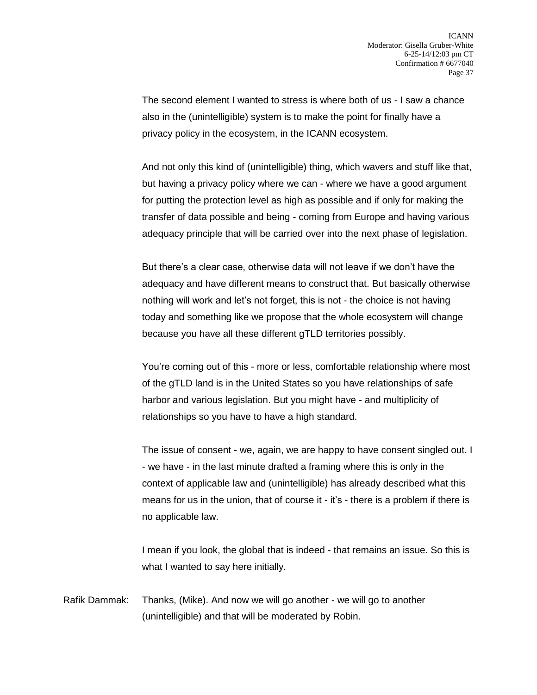The second element I wanted to stress is where both of us - I saw a chance also in the (unintelligible) system is to make the point for finally have a privacy policy in the ecosystem, in the ICANN ecosystem.

And not only this kind of (unintelligible) thing, which wavers and stuff like that, but having a privacy policy where we can - where we have a good argument for putting the protection level as high as possible and if only for making the transfer of data possible and being - coming from Europe and having various adequacy principle that will be carried over into the next phase of legislation.

But there's a clear case, otherwise data will not leave if we don't have the adequacy and have different means to construct that. But basically otherwise nothing will work and let's not forget, this is not - the choice is not having today and something like we propose that the whole ecosystem will change because you have all these different gTLD territories possibly.

You're coming out of this - more or less, comfortable relationship where most of the gTLD land is in the United States so you have relationships of safe harbor and various legislation. But you might have - and multiplicity of relationships so you have to have a high standard.

The issue of consent - we, again, we are happy to have consent singled out. I - we have - in the last minute drafted a framing where this is only in the context of applicable law and (unintelligible) has already described what this means for us in the union, that of course it - it's - there is a problem if there is no applicable law.

I mean if you look, the global that is indeed - that remains an issue. So this is what I wanted to say here initially.

Rafik Dammak: Thanks, (Mike). And now we will go another - we will go to another (unintelligible) and that will be moderated by Robin.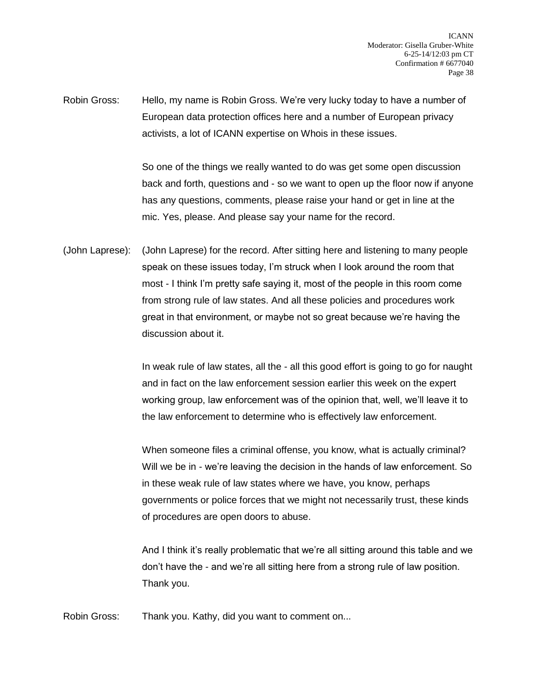Robin Gross: Hello, my name is Robin Gross. We're very lucky today to have a number of European data protection offices here and a number of European privacy activists, a lot of ICANN expertise on Whois in these issues.

> So one of the things we really wanted to do was get some open discussion back and forth, questions and - so we want to open up the floor now if anyone has any questions, comments, please raise your hand or get in line at the mic. Yes, please. And please say your name for the record.

(John Laprese): (John Laprese) for the record. After sitting here and listening to many people speak on these issues today, I'm struck when I look around the room that most - I think I'm pretty safe saying it, most of the people in this room come from strong rule of law states. And all these policies and procedures work great in that environment, or maybe not so great because we're having the discussion about it.

> In weak rule of law states, all the - all this good effort is going to go for naught and in fact on the law enforcement session earlier this week on the expert working group, law enforcement was of the opinion that, well, we'll leave it to the law enforcement to determine who is effectively law enforcement.

> When someone files a criminal offense, you know, what is actually criminal? Will we be in - we're leaving the decision in the hands of law enforcement. So in these weak rule of law states where we have, you know, perhaps governments or police forces that we might not necessarily trust, these kinds of procedures are open doors to abuse.

> And I think it's really problematic that we're all sitting around this table and we don't have the - and we're all sitting here from a strong rule of law position. Thank you.

Robin Gross: Thank you. Kathy, did you want to comment on...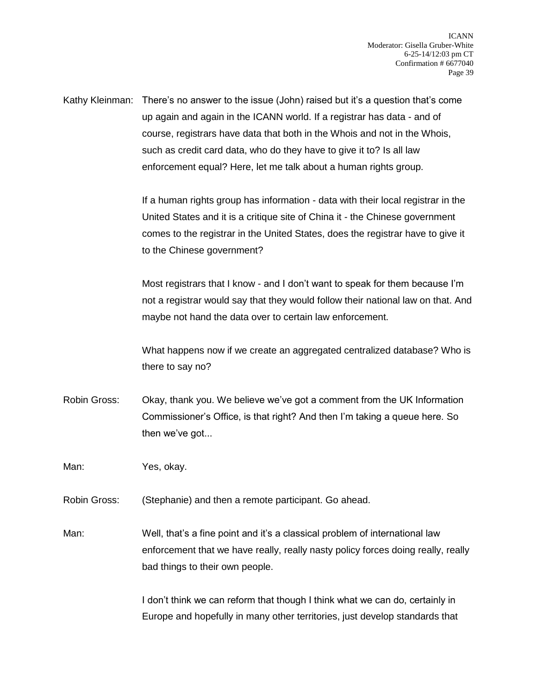Kathy Kleinman: There's no answer to the issue (John) raised but it's a question that's come up again and again in the ICANN world. If a registrar has data - and of course, registrars have data that both in the Whois and not in the Whois, such as credit card data, who do they have to give it to? Is all law enforcement equal? Here, let me talk about a human rights group.

> If a human rights group has information - data with their local registrar in the United States and it is a critique site of China it - the Chinese government comes to the registrar in the United States, does the registrar have to give it to the Chinese government?

Most registrars that I know - and I don't want to speak for them because I'm not a registrar would say that they would follow their national law on that. And maybe not hand the data over to certain law enforcement.

What happens now if we create an aggregated centralized database? Who is there to say no?

Robin Gross: Okay, thank you. We believe we've got a comment from the UK Information Commissioner's Office, is that right? And then I'm taking a queue here. So then we've got...

Man: Yes, okay.

Robin Gross: (Stephanie) and then a remote participant. Go ahead.

Man: Well, that's a fine point and it's a classical problem of international law enforcement that we have really, really nasty policy forces doing really, really bad things to their own people.

> I don't think we can reform that though I think what we can do, certainly in Europe and hopefully in many other territories, just develop standards that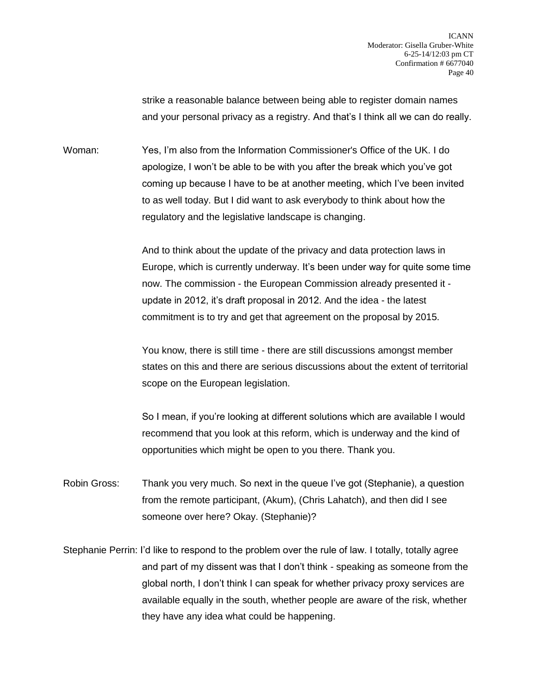strike a reasonable balance between being able to register domain names and your personal privacy as a registry. And that's I think all we can do really.

Woman: Yes, I'm also from the Information Commissioner's Office of the UK. I do apologize, I won't be able to be with you after the break which you've got coming up because I have to be at another meeting, which I've been invited to as well today. But I did want to ask everybody to think about how the regulatory and the legislative landscape is changing.

> And to think about the update of the privacy and data protection laws in Europe, which is currently underway. It's been under way for quite some time now. The commission - the European Commission already presented it update in 2012, it's draft proposal in 2012. And the idea - the latest commitment is to try and get that agreement on the proposal by 2015.

> You know, there is still time - there are still discussions amongst member states on this and there are serious discussions about the extent of territorial scope on the European legislation.

> So I mean, if you're looking at different solutions which are available I would recommend that you look at this reform, which is underway and the kind of opportunities which might be open to you there. Thank you.

Robin Gross: Thank you very much. So next in the queue I've got (Stephanie), a question from the remote participant, (Akum), (Chris Lahatch), and then did I see someone over here? Okay. (Stephanie)?

Stephanie Perrin: I'd like to respond to the problem over the rule of law. I totally, totally agree and part of my dissent was that I don't think - speaking as someone from the global north, I don't think I can speak for whether privacy proxy services are available equally in the south, whether people are aware of the risk, whether they have any idea what could be happening.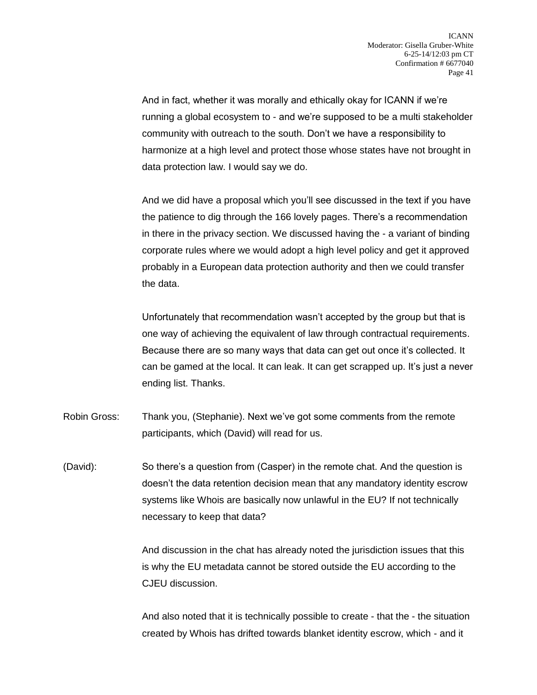And in fact, whether it was morally and ethically okay for ICANN if we're running a global ecosystem to - and we're supposed to be a multi stakeholder community with outreach to the south. Don't we have a responsibility to harmonize at a high level and protect those whose states have not brought in data protection law. I would say we do.

And we did have a proposal which you'll see discussed in the text if you have the patience to dig through the 166 lovely pages. There's a recommendation in there in the privacy section. We discussed having the - a variant of binding corporate rules where we would adopt a high level policy and get it approved probably in a European data protection authority and then we could transfer the data.

Unfortunately that recommendation wasn't accepted by the group but that is one way of achieving the equivalent of law through contractual requirements. Because there are so many ways that data can get out once it's collected. It can be gamed at the local. It can leak. It can get scrapped up. It's just a never ending list. Thanks.

Robin Gross: Thank you, (Stephanie). Next we've got some comments from the remote participants, which (David) will read for us.

(David): So there's a question from (Casper) in the remote chat. And the question is doesn't the data retention decision mean that any mandatory identity escrow systems like Whois are basically now unlawful in the EU? If not technically necessary to keep that data?

> And discussion in the chat has already noted the jurisdiction issues that this is why the EU metadata cannot be stored outside the EU according to the CJEU discussion.

And also noted that it is technically possible to create - that the - the situation created by Whois has drifted towards blanket identity escrow, which - and it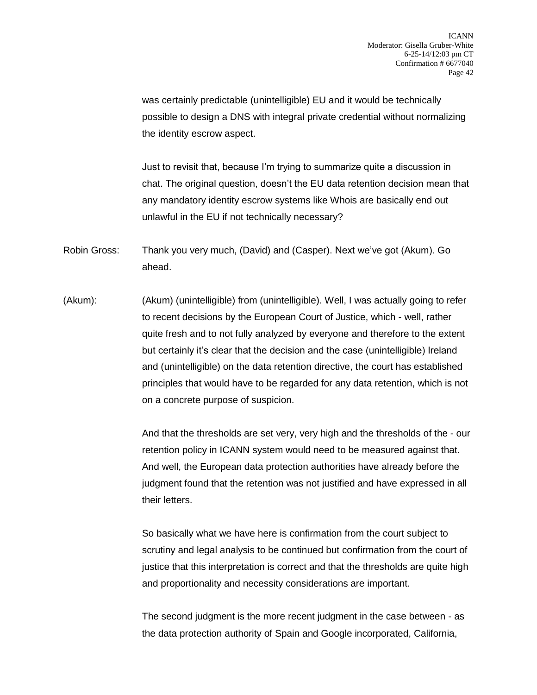was certainly predictable (unintelligible) EU and it would be technically possible to design a DNS with integral private credential without normalizing the identity escrow aspect.

Just to revisit that, because I'm trying to summarize quite a discussion in chat. The original question, doesn't the EU data retention decision mean that any mandatory identity escrow systems like Whois are basically end out unlawful in the EU if not technically necessary?

Robin Gross: Thank you very much, (David) and (Casper). Next we've got (Akum). Go ahead.

(Akum): (Akum) (unintelligible) from (unintelligible). Well, I was actually going to refer to recent decisions by the European Court of Justice, which - well, rather quite fresh and to not fully analyzed by everyone and therefore to the extent but certainly it's clear that the decision and the case (unintelligible) Ireland and (unintelligible) on the data retention directive, the court has established principles that would have to be regarded for any data retention, which is not on a concrete purpose of suspicion.

> And that the thresholds are set very, very high and the thresholds of the - our retention policy in ICANN system would need to be measured against that. And well, the European data protection authorities have already before the judgment found that the retention was not justified and have expressed in all their letters.

> So basically what we have here is confirmation from the court subject to scrutiny and legal analysis to be continued but confirmation from the court of justice that this interpretation is correct and that the thresholds are quite high and proportionality and necessity considerations are important.

The second judgment is the more recent judgment in the case between - as the data protection authority of Spain and Google incorporated, California,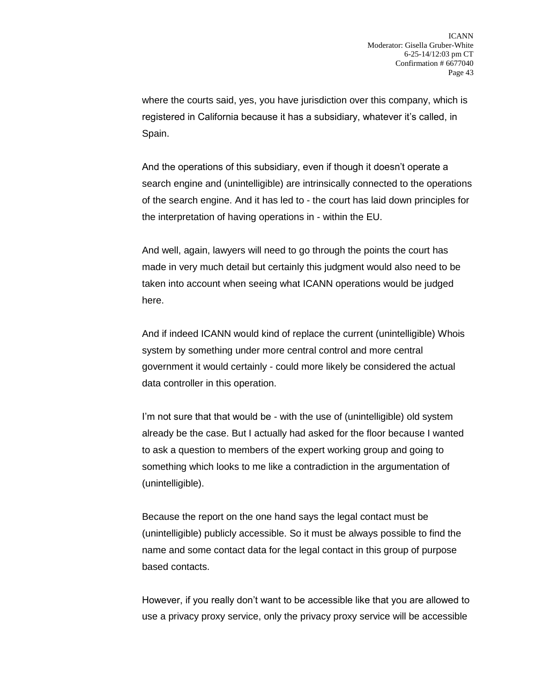where the courts said, yes, you have jurisdiction over this company, which is registered in California because it has a subsidiary, whatever it's called, in Spain.

And the operations of this subsidiary, even if though it doesn't operate a search engine and (unintelligible) are intrinsically connected to the operations of the search engine. And it has led to - the court has laid down principles for the interpretation of having operations in - within the EU.

And well, again, lawyers will need to go through the points the court has made in very much detail but certainly this judgment would also need to be taken into account when seeing what ICANN operations would be judged here.

And if indeed ICANN would kind of replace the current (unintelligible) Whois system by something under more central control and more central government it would certainly - could more likely be considered the actual data controller in this operation.

I'm not sure that that would be - with the use of (unintelligible) old system already be the case. But I actually had asked for the floor because I wanted to ask a question to members of the expert working group and going to something which looks to me like a contradiction in the argumentation of (unintelligible).

Because the report on the one hand says the legal contact must be (unintelligible) publicly accessible. So it must be always possible to find the name and some contact data for the legal contact in this group of purpose based contacts.

However, if you really don't want to be accessible like that you are allowed to use a privacy proxy service, only the privacy proxy service will be accessible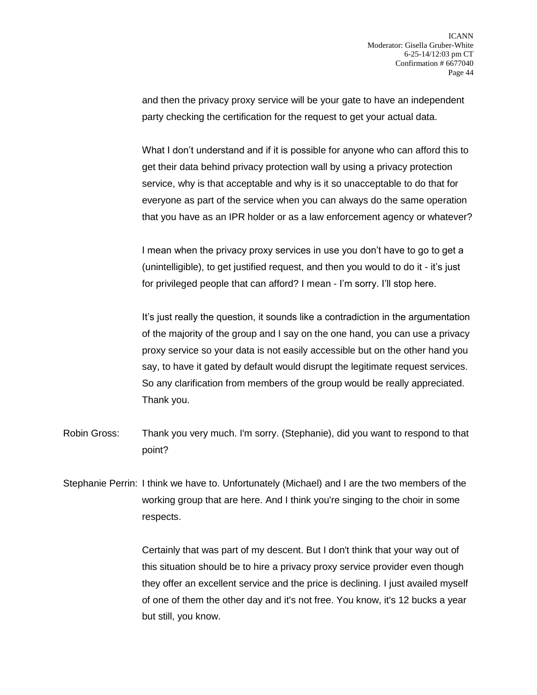and then the privacy proxy service will be your gate to have an independent party checking the certification for the request to get your actual data.

What I don't understand and if it is possible for anyone who can afford this to get their data behind privacy protection wall by using a privacy protection service, why is that acceptable and why is it so unacceptable to do that for everyone as part of the service when you can always do the same operation that you have as an IPR holder or as a law enforcement agency or whatever?

I mean when the privacy proxy services in use you don't have to go to get a (unintelligible), to get justified request, and then you would to do it - it's just for privileged people that can afford? I mean - I'm sorry. I'll stop here.

It's just really the question, it sounds like a contradiction in the argumentation of the majority of the group and I say on the one hand, you can use a privacy proxy service so your data is not easily accessible but on the other hand you say, to have it gated by default would disrupt the legitimate request services. So any clarification from members of the group would be really appreciated. Thank you.

Robin Gross: Thank you very much. I'm sorry. (Stephanie), did you want to respond to that point?

Stephanie Perrin: I think we have to. Unfortunately (Michael) and I are the two members of the working group that are here. And I think you're singing to the choir in some respects.

> Certainly that was part of my descent. But I don't think that your way out of this situation should be to hire a privacy proxy service provider even though they offer an excellent service and the price is declining. I just availed myself of one of them the other day and it's not free. You know, it's 12 bucks a year but still, you know.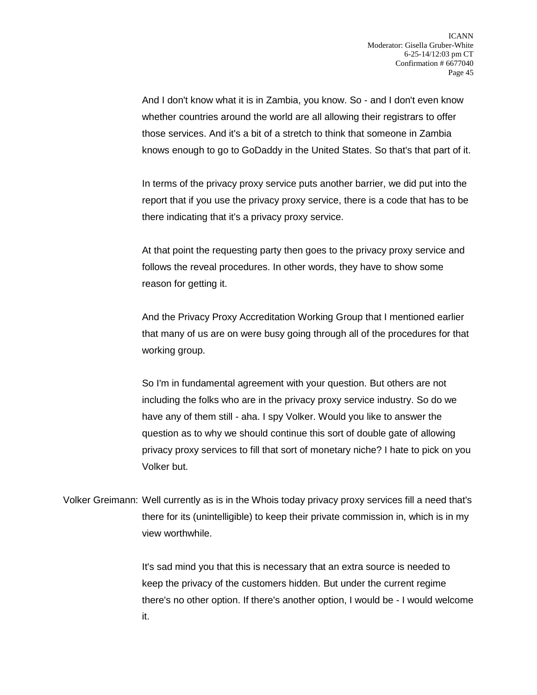And I don't know what it is in Zambia, you know. So - and I don't even know whether countries around the world are all allowing their registrars to offer those services. And it's a bit of a stretch to think that someone in Zambia knows enough to go to GoDaddy in the United States. So that's that part of it.

In terms of the privacy proxy service puts another barrier, we did put into the report that if you use the privacy proxy service, there is a code that has to be there indicating that it's a privacy proxy service.

At that point the requesting party then goes to the privacy proxy service and follows the reveal procedures. In other words, they have to show some reason for getting it.

And the Privacy Proxy Accreditation Working Group that I mentioned earlier that many of us are on were busy going through all of the procedures for that working group.

So I'm in fundamental agreement with your question. But others are not including the folks who are in the privacy proxy service industry. So do we have any of them still - aha. I spy Volker. Would you like to answer the question as to why we should continue this sort of double gate of allowing privacy proxy services to fill that sort of monetary niche? I hate to pick on you Volker but.

Volker Greimann: Well currently as is in the Whois today privacy proxy services fill a need that's there for its (unintelligible) to keep their private commission in, which is in my view worthwhile.

> It's sad mind you that this is necessary that an extra source is needed to keep the privacy of the customers hidden. But under the current regime there's no other option. If there's another option, I would be - I would welcome it.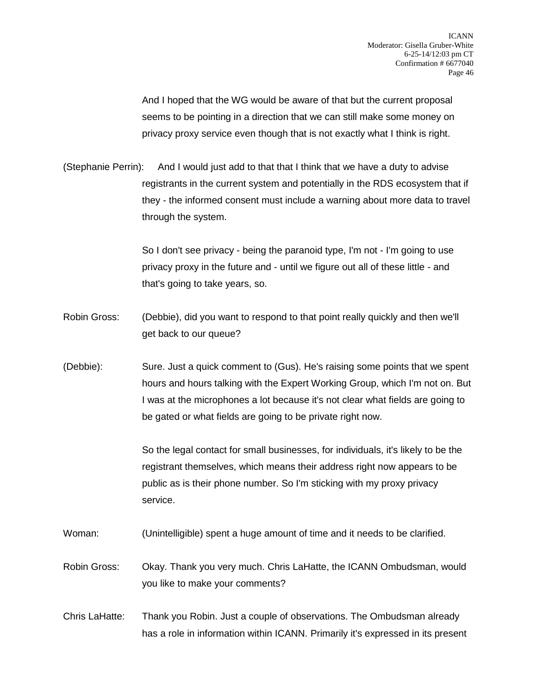And I hoped that the WG would be aware of that but the current proposal seems to be pointing in a direction that we can still make some money on privacy proxy service even though that is not exactly what I think is right.

(Stephanie Perrin): And I would just add to that that I think that we have a duty to advise registrants in the current system and potentially in the RDS ecosystem that if they - the informed consent must include a warning about more data to travel through the system.

> So I don't see privacy - being the paranoid type, I'm not - I'm going to use privacy proxy in the future and - until we figure out all of these little - and that's going to take years, so.

- Robin Gross: (Debbie), did you want to respond to that point really quickly and then we'll get back to our queue?
- (Debbie): Sure. Just a quick comment to (Gus). He's raising some points that we spent hours and hours talking with the Expert Working Group, which I'm not on. But I was at the microphones a lot because it's not clear what fields are going to be gated or what fields are going to be private right now.

So the legal contact for small businesses, for individuals, it's likely to be the registrant themselves, which means their address right now appears to be public as is their phone number. So I'm sticking with my proxy privacy service.

- Woman: (Unintelligible) spent a huge amount of time and it needs to be clarified.
- Robin Gross: Okay. Thank you very much. Chris LaHatte, the ICANN Ombudsman, would you like to make your comments?
- Chris LaHatte: Thank you Robin. Just a couple of observations. The Ombudsman already has a role in information within ICANN. Primarily it's expressed in its present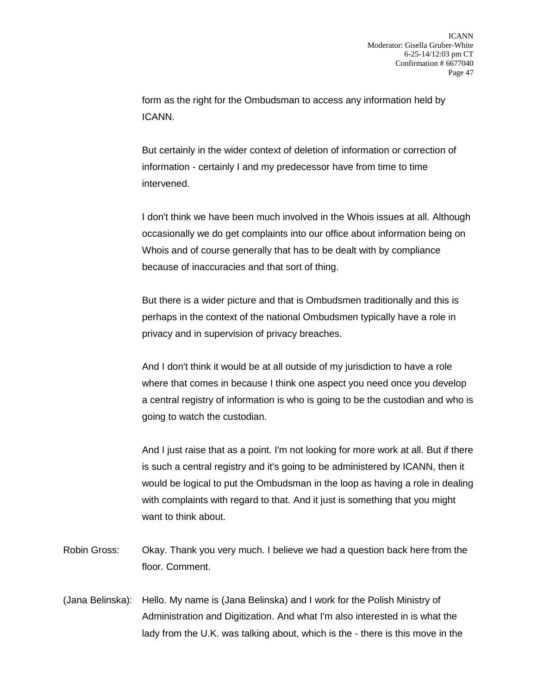form as the right for the Ombudsman to access any information held by ICANN.

But certainly in the wider context of deletion of information or correction of information - certainly I and my predecessor have from time to time intervened.

I don't think we have been much involved in the Whois issues at all. Although occasionally we do get complaints into our office about information being on Whois and of course generally that has to be dealt with by compliance because of inaccuracies and that sort of thing.

But there is a wider picture and that is Ombudsmen traditionally and this is perhaps in the context of the national Ombudsmen typically have a role in privacy and in supervision of privacy breaches.

And I don't think it would be at all outside of my jurisdiction to have a role where that comes in because I think one aspect you need once you develop a central registry of information is who is going to be the custodian and who is going to watch the custodian.

And I just raise that as a point. I'm not looking for more work at all. But if there is such a central registry and it's going to be administered by ICANN, then it would be logical to put the Ombudsman in the loop as having a role in dealing with complaints with regard to that. And it just is something that you might want to think about.

- Robin Gross: Okay. Thank you very much. I believe we had a question back here from the floor. Comment.
- (Jana Belinska): Hello. My name is (Jana Belinska) and I work for the Polish Ministry of Administration and Digitization. And what I'm also interested in is what the lady from the U.K. was talking about, which is the - there is this move in the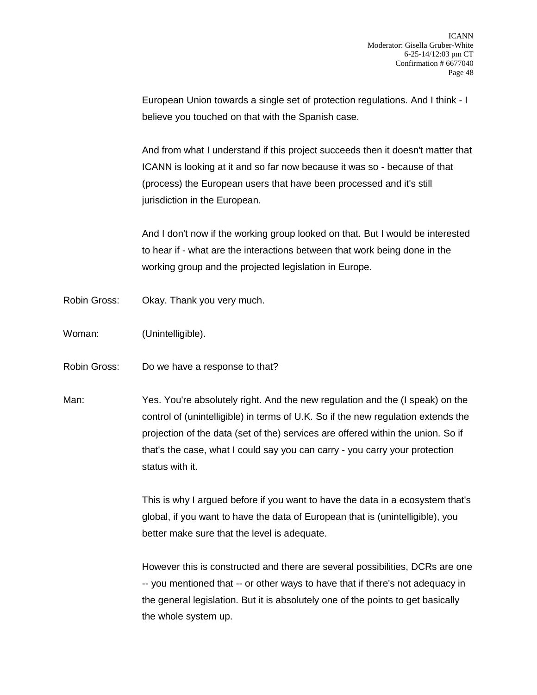European Union towards a single set of protection regulations. And I think - I believe you touched on that with the Spanish case.

And from what I understand if this project succeeds then it doesn't matter that ICANN is looking at it and so far now because it was so - because of that (process) the European users that have been processed and it's still jurisdiction in the European.

And I don't now if the working group looked on that. But I would be interested to hear if - what are the interactions between that work being done in the working group and the projected legislation in Europe.

- Robin Gross: Okay. Thank you very much.
- Woman: (Unintelligible).
- Robin Gross: Do we have a response to that?
- Man: Yes. You're absolutely right. And the new regulation and the (I speak) on the control of (unintelligible) in terms of U.K. So if the new regulation extends the projection of the data (set of the) services are offered within the union. So if that's the case, what I could say you can carry - you carry your protection status with it.

This is why I argued before if you want to have the data in a ecosystem that's global, if you want to have the data of European that is (unintelligible), you better make sure that the level is adequate.

However this is constructed and there are several possibilities, DCRs are one -- you mentioned that -- or other ways to have that if there's not adequacy in the general legislation. But it is absolutely one of the points to get basically the whole system up.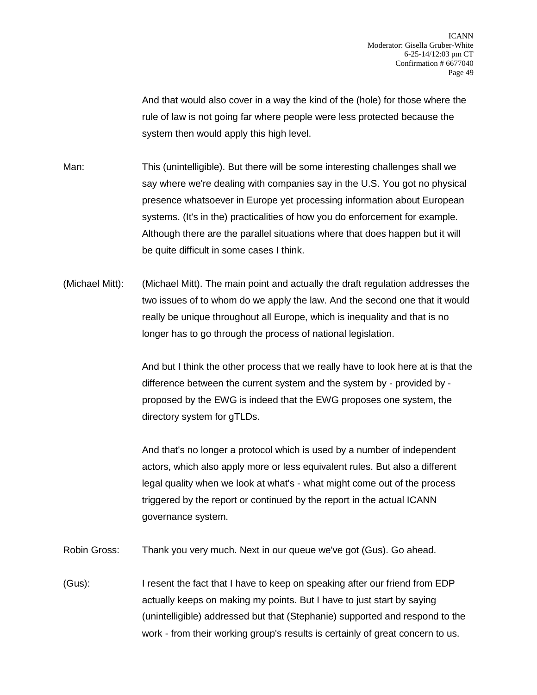And that would also cover in a way the kind of the (hole) for those where the rule of law is not going far where people were less protected because the system then would apply this high level.

Man: This (unintelligible). But there will be some interesting challenges shall we say where we're dealing with companies say in the U.S. You got no physical presence whatsoever in Europe yet processing information about European systems. (It's in the) practicalities of how you do enforcement for example. Although there are the parallel situations where that does happen but it will be quite difficult in some cases I think.

(Michael Mitt): (Michael Mitt). The main point and actually the draft regulation addresses the two issues of to whom do we apply the law. And the second one that it would really be unique throughout all Europe, which is inequality and that is no longer has to go through the process of national legislation.

> And but I think the other process that we really have to look here at is that the difference between the current system and the system by - provided by proposed by the EWG is indeed that the EWG proposes one system, the directory system for gTLDs.

And that's no longer a protocol which is used by a number of independent actors, which also apply more or less equivalent rules. But also a different legal quality when we look at what's - what might come out of the process triggered by the report or continued by the report in the actual ICANN governance system.

Robin Gross: Thank you very much. Next in our queue we've got (Gus). Go ahead.

(Gus): I resent the fact that I have to keep on speaking after our friend from EDP actually keeps on making my points. But I have to just start by saying (unintelligible) addressed but that (Stephanie) supported and respond to the work - from their working group's results is certainly of great concern to us.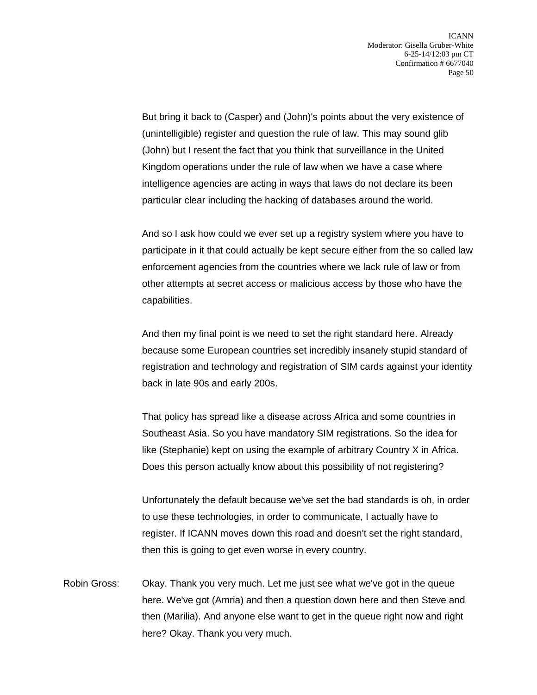But bring it back to (Casper) and (John)'s points about the very existence of (unintelligible) register and question the rule of law. This may sound glib (John) but I resent the fact that you think that surveillance in the United Kingdom operations under the rule of law when we have a case where intelligence agencies are acting in ways that laws do not declare its been particular clear including the hacking of databases around the world.

And so I ask how could we ever set up a registry system where you have to participate in it that could actually be kept secure either from the so called law enforcement agencies from the countries where we lack rule of law or from other attempts at secret access or malicious access by those who have the capabilities.

And then my final point is we need to set the right standard here. Already because some European countries set incredibly insanely stupid standard of registration and technology and registration of SIM cards against your identity back in late 90s and early 200s.

That policy has spread like a disease across Africa and some countries in Southeast Asia. So you have mandatory SIM registrations. So the idea for like (Stephanie) kept on using the example of arbitrary Country X in Africa. Does this person actually know about this possibility of not registering?

Unfortunately the default because we've set the bad standards is oh, in order to use these technologies, in order to communicate, I actually have to register. If ICANN moves down this road and doesn't set the right standard, then this is going to get even worse in every country.

Robin Gross: Okay. Thank you very much. Let me just see what we've got in the queue here. We've got (Amria) and then a question down here and then Steve and then (Marilia). And anyone else want to get in the queue right now and right here? Okay. Thank you very much.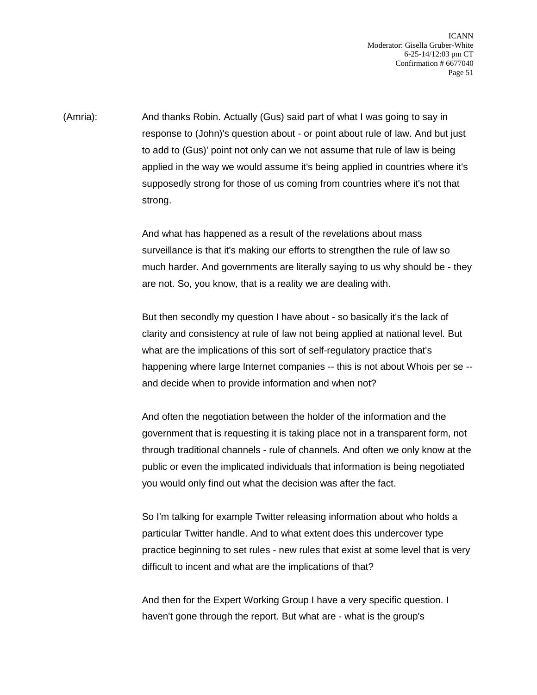ICANN Moderator: Gisella Gruber-White 6-25-14/12:03 pm CT Confirmation # 6677040 Page 51

(Amria): And thanks Robin. Actually (Gus) said part of what I was going to say in response to (John)'s question about - or point about rule of law. And but just to add to (Gus)' point not only can we not assume that rule of law is being applied in the way we would assume it's being applied in countries where it's supposedly strong for those of us coming from countries where it's not that strong.

> And what has happened as a result of the revelations about mass surveillance is that it's making our efforts to strengthen the rule of law so much harder. And governments are literally saying to us why should be - they are not. So, you know, that is a reality we are dealing with.

> But then secondly my question I have about - so basically it's the lack of clarity and consistency at rule of law not being applied at national level. But what are the implications of this sort of self-regulatory practice that's happening where large Internet companies -- this is not about Whois per se - and decide when to provide information and when not?

> And often the negotiation between the holder of the information and the government that is requesting it is taking place not in a transparent form, not through traditional channels - rule of channels. And often we only know at the public or even the implicated individuals that information is being negotiated you would only find out what the decision was after the fact.

> So I'm talking for example Twitter releasing information about who holds a particular Twitter handle. And to what extent does this undercover type practice beginning to set rules - new rules that exist at some level that is very difficult to incent and what are the implications of that?

And then for the Expert Working Group I have a very specific question. I haven't gone through the report. But what are - what is the group's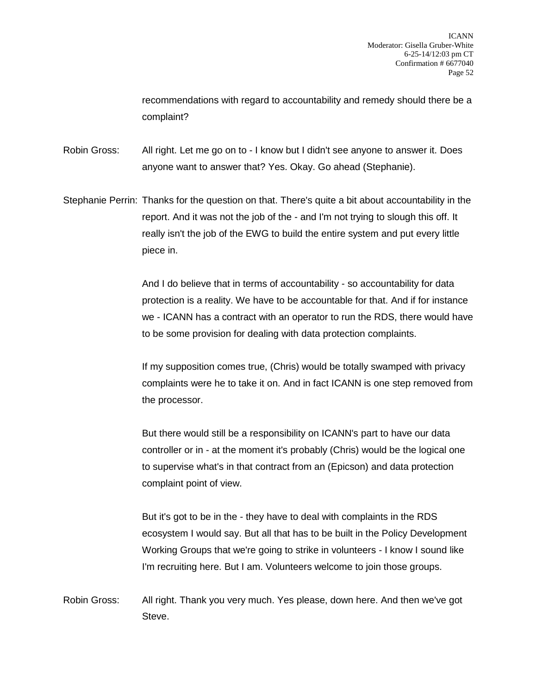recommendations with regard to accountability and remedy should there be a complaint?

Robin Gross: All right. Let me go on to - I know but I didn't see anyone to answer it. Does anyone want to answer that? Yes. Okay. Go ahead (Stephanie).

Stephanie Perrin: Thanks for the question on that. There's quite a bit about accountability in the report. And it was not the job of the - and I'm not trying to slough this off. It really isn't the job of the EWG to build the entire system and put every little piece in.

> And I do believe that in terms of accountability - so accountability for data protection is a reality. We have to be accountable for that. And if for instance we - ICANN has a contract with an operator to run the RDS, there would have to be some provision for dealing with data protection complaints.

> If my supposition comes true, (Chris) would be totally swamped with privacy complaints were he to take it on. And in fact ICANN is one step removed from the processor.

But there would still be a responsibility on ICANN's part to have our data controller or in - at the moment it's probably (Chris) would be the logical one to supervise what's in that contract from an (Epicson) and data protection complaint point of view.

But it's got to be in the - they have to deal with complaints in the RDS ecosystem I would say. But all that has to be built in the Policy Development Working Groups that we're going to strike in volunteers - I know I sound like I'm recruiting here. But I am. Volunteers welcome to join those groups.

Robin Gross: All right. Thank you very much. Yes please, down here. And then we've got Steve.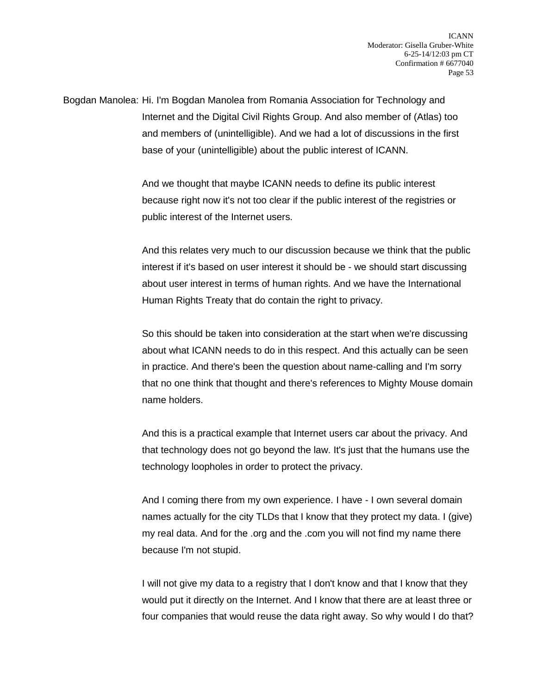Bogdan Manolea: Hi. I'm Bogdan Manolea from Romania Association for Technology and Internet and the Digital Civil Rights Group. And also member of (Atlas) too and members of (unintelligible). And we had a lot of discussions in the first base of your (unintelligible) about the public interest of ICANN.

> And we thought that maybe ICANN needs to define its public interest because right now it's not too clear if the public interest of the registries or public interest of the Internet users.

And this relates very much to our discussion because we think that the public interest if it's based on user interest it should be - we should start discussing about user interest in terms of human rights. And we have the International Human Rights Treaty that do contain the right to privacy.

So this should be taken into consideration at the start when we're discussing about what ICANN needs to do in this respect. And this actually can be seen in practice. And there's been the question about name-calling and I'm sorry that no one think that thought and there's references to Mighty Mouse domain name holders.

And this is a practical example that Internet users car about the privacy. And that technology does not go beyond the law. It's just that the humans use the technology loopholes in order to protect the privacy.

And I coming there from my own experience. I have - I own several domain names actually for the city TLDs that I know that they protect my data. I (give) my real data. And for the .org and the .com you will not find my name there because I'm not stupid.

I will not give my data to a registry that I don't know and that I know that they would put it directly on the Internet. And I know that there are at least three or four companies that would reuse the data right away. So why would I do that?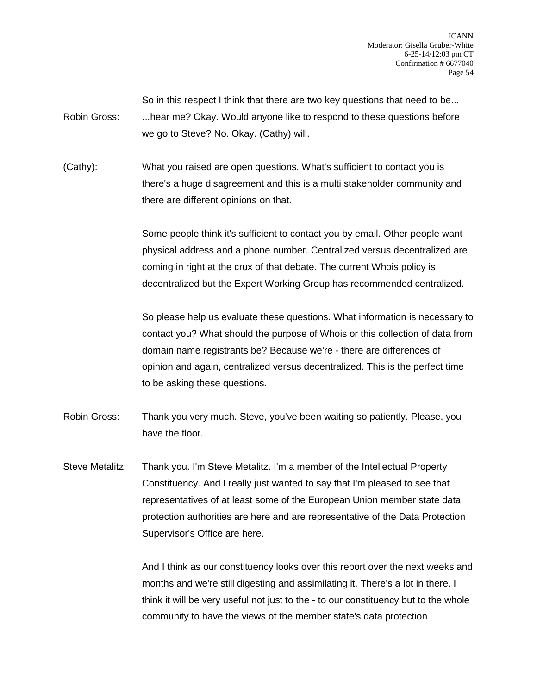So in this respect I think that there are two key questions that need to be... Robin Gross: ...hear me? Okay. Would anyone like to respond to these questions before we go to Steve? No. Okay. (Cathy) will.

(Cathy): What you raised are open questions. What's sufficient to contact you is there's a huge disagreement and this is a multi stakeholder community and there are different opinions on that.

> Some people think it's sufficient to contact you by email. Other people want physical address and a phone number. Centralized versus decentralized are coming in right at the crux of that debate. The current Whois policy is decentralized but the Expert Working Group has recommended centralized.

So please help us evaluate these questions. What information is necessary to contact you? What should the purpose of Whois or this collection of data from domain name registrants be? Because we're - there are differences of opinion and again, centralized versus decentralized. This is the perfect time to be asking these questions.

Robin Gross: Thank you very much. Steve, you've been waiting so patiently. Please, you have the floor.

Steve Metalitz: Thank you. I'm Steve Metalitz. I'm a member of the Intellectual Property Constituency. And I really just wanted to say that I'm pleased to see that representatives of at least some of the European Union member state data protection authorities are here and are representative of the Data Protection Supervisor's Office are here.

> And I think as our constituency looks over this report over the next weeks and months and we're still digesting and assimilating it. There's a lot in there. I think it will be very useful not just to the - to our constituency but to the whole community to have the views of the member state's data protection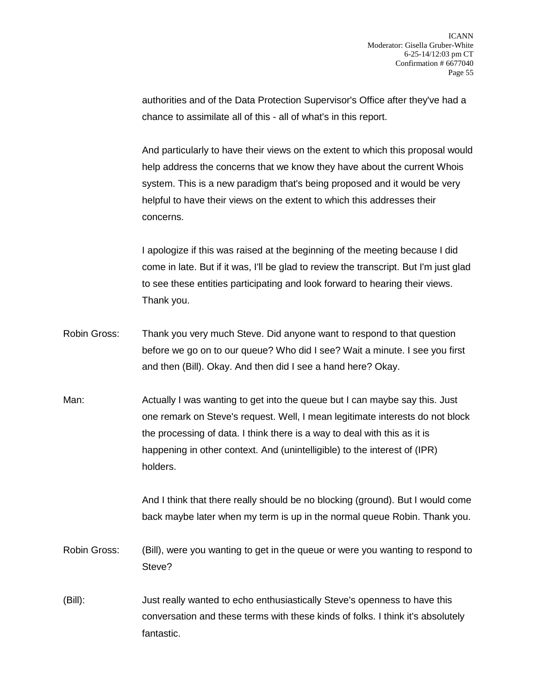authorities and of the Data Protection Supervisor's Office after they've had a chance to assimilate all of this - all of what's in this report.

And particularly to have their views on the extent to which this proposal would help address the concerns that we know they have about the current Whois system. This is a new paradigm that's being proposed and it would be very helpful to have their views on the extent to which this addresses their concerns.

I apologize if this was raised at the beginning of the meeting because I did come in late. But if it was, I'll be glad to review the transcript. But I'm just glad to see these entities participating and look forward to hearing their views. Thank you.

- Robin Gross: Thank you very much Steve. Did anyone want to respond to that question before we go on to our queue? Who did I see? Wait a minute. I see you first and then (Bill). Okay. And then did I see a hand here? Okay.
- Man: Actually I was wanting to get into the queue but I can maybe say this. Just one remark on Steve's request. Well, I mean legitimate interests do not block the processing of data. I think there is a way to deal with this as it is happening in other context. And (unintelligible) to the interest of (IPR) holders.

And I think that there really should be no blocking (ground). But I would come back maybe later when my term is up in the normal queue Robin. Thank you.

- Robin Gross: (Bill), were you wanting to get in the queue or were you wanting to respond to Steve?
- (Bill): Just really wanted to echo enthusiastically Steve's openness to have this conversation and these terms with these kinds of folks. I think it's absolutely fantastic.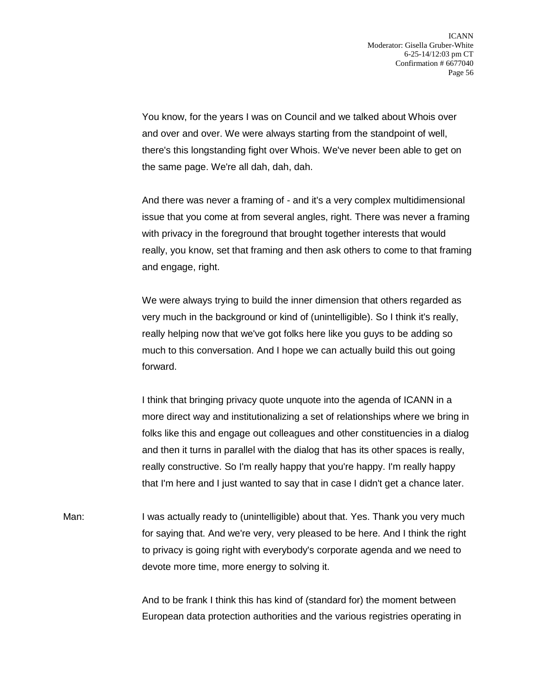You know, for the years I was on Council and we talked about Whois over and over and over. We were always starting from the standpoint of well, there's this longstanding fight over Whois. We've never been able to get on the same page. We're all dah, dah, dah.

And there was never a framing of - and it's a very complex multidimensional issue that you come at from several angles, right. There was never a framing with privacy in the foreground that brought together interests that would really, you know, set that framing and then ask others to come to that framing and engage, right.

We were always trying to build the inner dimension that others regarded as very much in the background or kind of (unintelligible). So I think it's really, really helping now that we've got folks here like you guys to be adding so much to this conversation. And I hope we can actually build this out going forward.

I think that bringing privacy quote unquote into the agenda of ICANN in a more direct way and institutionalizing a set of relationships where we bring in folks like this and engage out colleagues and other constituencies in a dialog and then it turns in parallel with the dialog that has its other spaces is really, really constructive. So I'm really happy that you're happy. I'm really happy that I'm here and I just wanted to say that in case I didn't get a chance later.

Man: I was actually ready to (unintelligible) about that. Yes. Thank you very much for saying that. And we're very, very pleased to be here. And I think the right to privacy is going right with everybody's corporate agenda and we need to devote more time, more energy to solving it.

> And to be frank I think this has kind of (standard for) the moment between European data protection authorities and the various registries operating in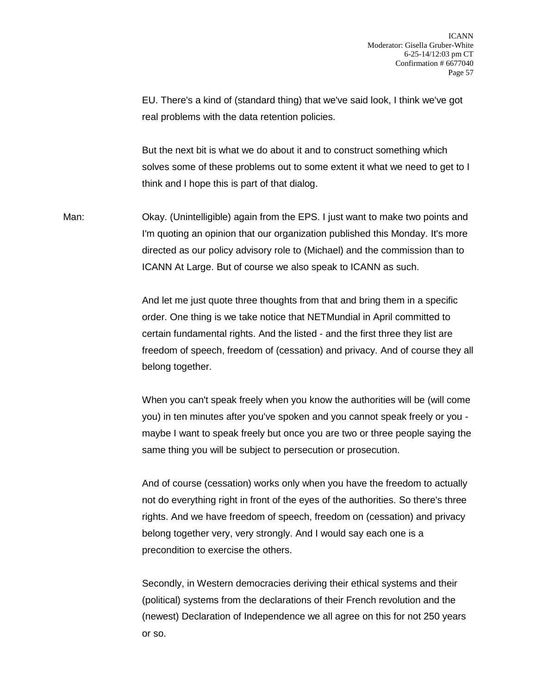EU. There's a kind of (standard thing) that we've said look, I think we've got real problems with the data retention policies.

But the next bit is what we do about it and to construct something which solves some of these problems out to some extent it what we need to get to I think and I hope this is part of that dialog.

Man: Okay. (Unintelligible) again from the EPS. I just want to make two points and I'm quoting an opinion that our organization published this Monday. It's more directed as our policy advisory role to (Michael) and the commission than to ICANN At Large. But of course we also speak to ICANN as such.

> And let me just quote three thoughts from that and bring them in a specific order. One thing is we take notice that NETMundial in April committed to certain fundamental rights. And the listed - and the first three they list are freedom of speech, freedom of (cessation) and privacy. And of course they all belong together.

> When you can't speak freely when you know the authorities will be (will come you) in ten minutes after you've spoken and you cannot speak freely or you maybe I want to speak freely but once you are two or three people saying the same thing you will be subject to persecution or prosecution.

And of course (cessation) works only when you have the freedom to actually not do everything right in front of the eyes of the authorities. So there's three rights. And we have freedom of speech, freedom on (cessation) and privacy belong together very, very strongly. And I would say each one is a precondition to exercise the others.

Secondly, in Western democracies deriving their ethical systems and their (political) systems from the declarations of their French revolution and the (newest) Declaration of Independence we all agree on this for not 250 years or so.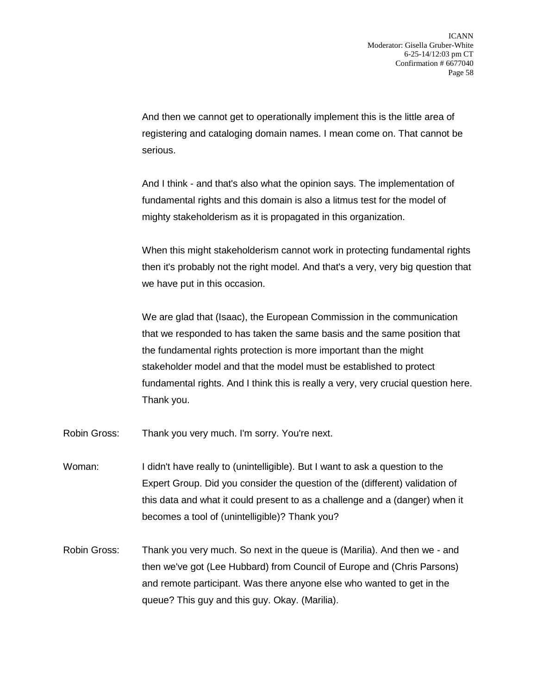And then we cannot get to operationally implement this is the little area of registering and cataloging domain names. I mean come on. That cannot be serious.

And I think - and that's also what the opinion says. The implementation of fundamental rights and this domain is also a litmus test for the model of mighty stakeholderism as it is propagated in this organization.

When this might stakeholderism cannot work in protecting fundamental rights then it's probably not the right model. And that's a very, very big question that we have put in this occasion.

We are glad that (Isaac), the European Commission in the communication that we responded to has taken the same basis and the same position that the fundamental rights protection is more important than the might stakeholder model and that the model must be established to protect fundamental rights. And I think this is really a very, very crucial question here. Thank you.

- Robin Gross: Thank you very much. I'm sorry. You're next.
- Woman: I didn't have really to (unintelligible). But I want to ask a question to the Expert Group. Did you consider the question of the (different) validation of this data and what it could present to as a challenge and a (danger) when it becomes a tool of (unintelligible)? Thank you?
- Robin Gross: Thank you very much. So next in the queue is (Marilia). And then we and then we've got (Lee Hubbard) from Council of Europe and (Chris Parsons) and remote participant. Was there anyone else who wanted to get in the queue? This guy and this guy. Okay. (Marilia).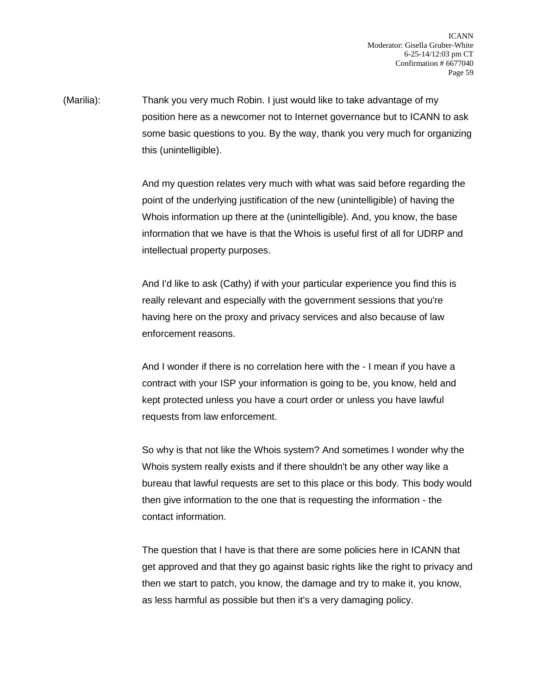(Marilia): Thank you very much Robin. I just would like to take advantage of my position here as a newcomer not to Internet governance but to ICANN to ask some basic questions to you. By the way, thank you very much for organizing this (unintelligible).

> And my question relates very much with what was said before regarding the point of the underlying justification of the new (unintelligible) of having the Whois information up there at the (unintelligible). And, you know, the base information that we have is that the Whois is useful first of all for UDRP and intellectual property purposes.

And I'd like to ask (Cathy) if with your particular experience you find this is really relevant and especially with the government sessions that you're having here on the proxy and privacy services and also because of law enforcement reasons.

And I wonder if there is no correlation here with the - I mean if you have a contract with your ISP your information is going to be, you know, held and kept protected unless you have a court order or unless you have lawful requests from law enforcement.

So why is that not like the Whois system? And sometimes I wonder why the Whois system really exists and if there shouldn't be any other way like a bureau that lawful requests are set to this place or this body. This body would then give information to the one that is requesting the information - the contact information.

The question that I have is that there are some policies here in ICANN that get approved and that they go against basic rights like the right to privacy and then we start to patch, you know, the damage and try to make it, you know, as less harmful as possible but then it's a very damaging policy.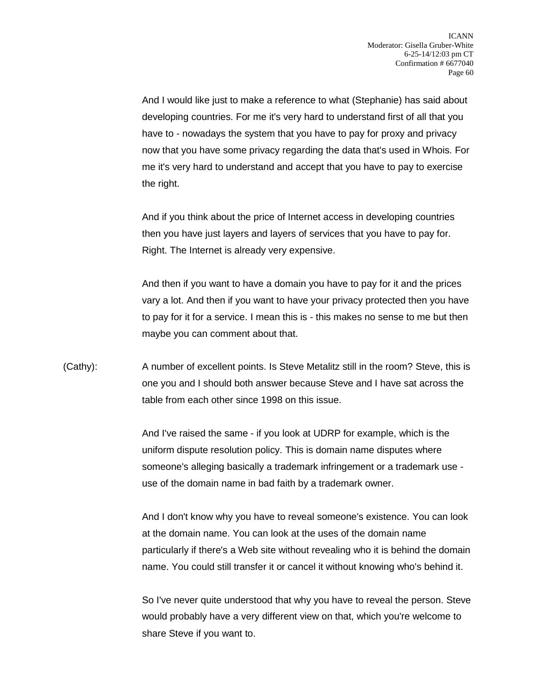And I would like just to make a reference to what (Stephanie) has said about developing countries. For me it's very hard to understand first of all that you have to - nowadays the system that you have to pay for proxy and privacy now that you have some privacy regarding the data that's used in Whois. For me it's very hard to understand and accept that you have to pay to exercise the right.

And if you think about the price of Internet access in developing countries then you have just layers and layers of services that you have to pay for. Right. The Internet is already very expensive.

And then if you want to have a domain you have to pay for it and the prices vary a lot. And then if you want to have your privacy protected then you have to pay for it for a service. I mean this is - this makes no sense to me but then maybe you can comment about that.

(Cathy): A number of excellent points. Is Steve Metalitz still in the room? Steve, this is one you and I should both answer because Steve and I have sat across the table from each other since 1998 on this issue.

> And I've raised the same - if you look at UDRP for example, which is the uniform dispute resolution policy. This is domain name disputes where someone's alleging basically a trademark infringement or a trademark use use of the domain name in bad faith by a trademark owner.

And I don't know why you have to reveal someone's existence. You can look at the domain name. You can look at the uses of the domain name particularly if there's a Web site without revealing who it is behind the domain name. You could still transfer it or cancel it without knowing who's behind it.

So I've never quite understood that why you have to reveal the person. Steve would probably have a very different view on that, which you're welcome to share Steve if you want to.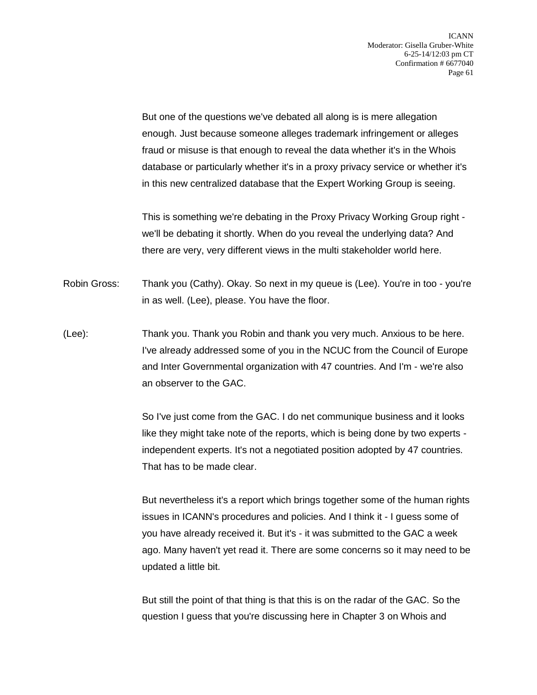But one of the questions we've debated all along is is mere allegation enough. Just because someone alleges trademark infringement or alleges fraud or misuse is that enough to reveal the data whether it's in the Whois database or particularly whether it's in a proxy privacy service or whether it's in this new centralized database that the Expert Working Group is seeing.

This is something we're debating in the Proxy Privacy Working Group right we'll be debating it shortly. When do you reveal the underlying data? And there are very, very different views in the multi stakeholder world here.

- Robin Gross: Thank you (Cathy). Okay. So next in my queue is (Lee). You're in too you're in as well. (Lee), please. You have the floor.
- (Lee): Thank you. Thank you Robin and thank you very much. Anxious to be here. I've already addressed some of you in the NCUC from the Council of Europe and Inter Governmental organization with 47 countries. And I'm - we're also an observer to the GAC.

So I've just come from the GAC. I do net communique business and it looks like they might take note of the reports, which is being done by two experts independent experts. It's not a negotiated position adopted by 47 countries. That has to be made clear.

But nevertheless it's a report which brings together some of the human rights issues in ICANN's procedures and policies. And I think it - I guess some of you have already received it. But it's - it was submitted to the GAC a week ago. Many haven't yet read it. There are some concerns so it may need to be updated a little bit.

But still the point of that thing is that this is on the radar of the GAC. So the question I guess that you're discussing here in Chapter 3 on Whois and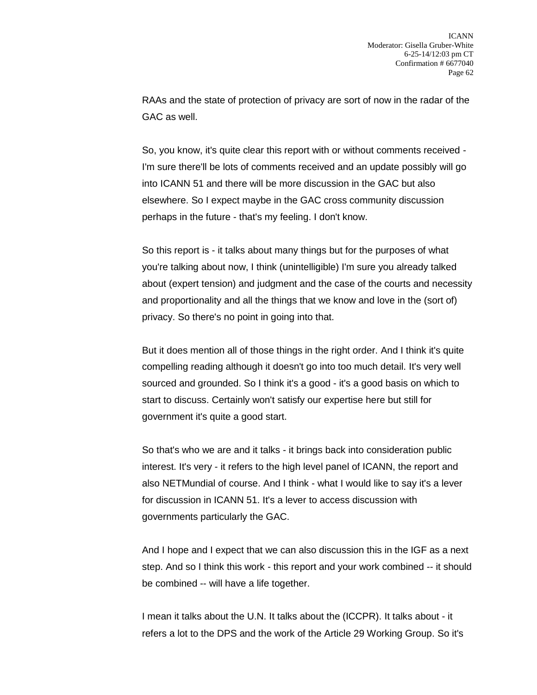RAAs and the state of protection of privacy are sort of now in the radar of the GAC as well.

So, you know, it's quite clear this report with or without comments received - I'm sure there'll be lots of comments received and an update possibly will go into ICANN 51 and there will be more discussion in the GAC but also elsewhere. So I expect maybe in the GAC cross community discussion perhaps in the future - that's my feeling. I don't know.

So this report is - it talks about many things but for the purposes of what you're talking about now, I think (unintelligible) I'm sure you already talked about (expert tension) and judgment and the case of the courts and necessity and proportionality and all the things that we know and love in the (sort of) privacy. So there's no point in going into that.

But it does mention all of those things in the right order. And I think it's quite compelling reading although it doesn't go into too much detail. It's very well sourced and grounded. So I think it's a good - it's a good basis on which to start to discuss. Certainly won't satisfy our expertise here but still for government it's quite a good start.

So that's who we are and it talks - it brings back into consideration public interest. It's very - it refers to the high level panel of ICANN, the report and also NETMundial of course. And I think - what I would like to say it's a lever for discussion in ICANN 51. It's a lever to access discussion with governments particularly the GAC.

And I hope and I expect that we can also discussion this in the IGF as a next step. And so I think this work - this report and your work combined -- it should be combined -- will have a life together.

I mean it talks about the U.N. It talks about the (ICCPR). It talks about - it refers a lot to the DPS and the work of the Article 29 Working Group. So it's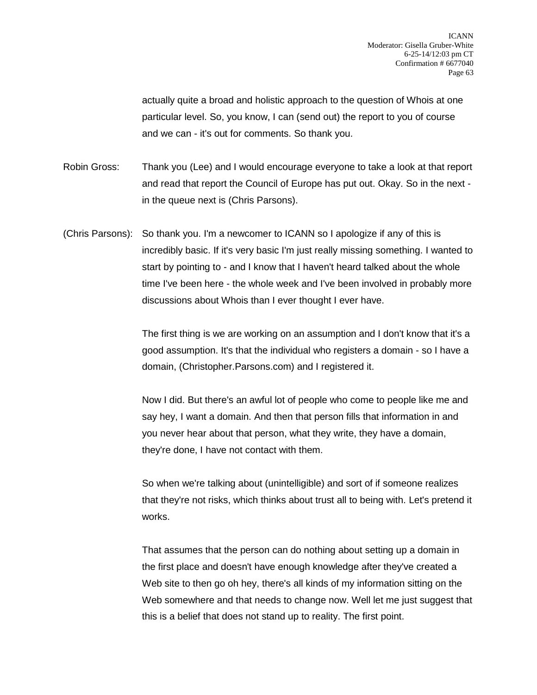actually quite a broad and holistic approach to the question of Whois at one particular level. So, you know, I can (send out) the report to you of course and we can - it's out for comments. So thank you.

Robin Gross: Thank you (Lee) and I would encourage everyone to take a look at that report and read that report the Council of Europe has put out. Okay. So in the next in the queue next is (Chris Parsons).

(Chris Parsons): So thank you. I'm a newcomer to ICANN so I apologize if any of this is incredibly basic. If it's very basic I'm just really missing something. I wanted to start by pointing to - and I know that I haven't heard talked about the whole time I've been here - the whole week and I've been involved in probably more discussions about Whois than I ever thought I ever have.

> The first thing is we are working on an assumption and I don't know that it's a good assumption. It's that the individual who registers a domain - so I have a domain, (Christopher.Parsons.com) and I registered it.

> Now I did. But there's an awful lot of people who come to people like me and say hey, I want a domain. And then that person fills that information in and you never hear about that person, what they write, they have a domain, they're done, I have not contact with them.

So when we're talking about (unintelligible) and sort of if someone realizes that they're not risks, which thinks about trust all to being with. Let's pretend it works.

That assumes that the person can do nothing about setting up a domain in the first place and doesn't have enough knowledge after they've created a Web site to then go oh hey, there's all kinds of my information sitting on the Web somewhere and that needs to change now. Well let me just suggest that this is a belief that does not stand up to reality. The first point.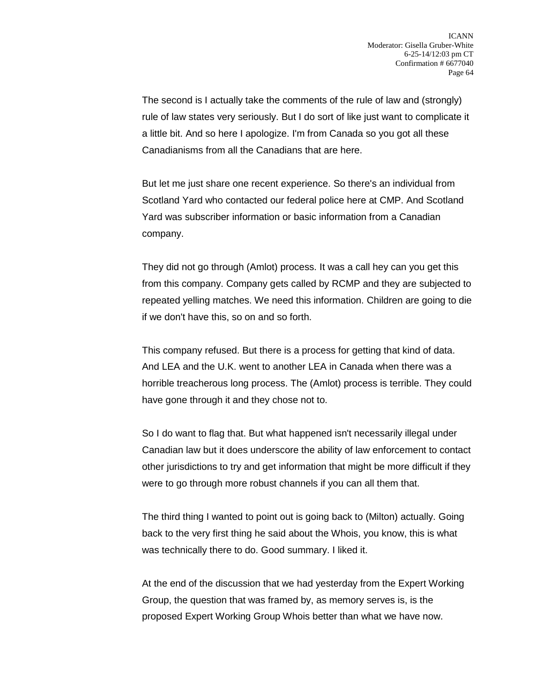The second is I actually take the comments of the rule of law and (strongly) rule of law states very seriously. But I do sort of like just want to complicate it a little bit. And so here I apologize. I'm from Canada so you got all these Canadianisms from all the Canadians that are here.

But let me just share one recent experience. So there's an individual from Scotland Yard who contacted our federal police here at CMP. And Scotland Yard was subscriber information or basic information from a Canadian company.

They did not go through (Amlot) process. It was a call hey can you get this from this company. Company gets called by RCMP and they are subjected to repeated yelling matches. We need this information. Children are going to die if we don't have this, so on and so forth.

This company refused. But there is a process for getting that kind of data. And LEA and the U.K. went to another LEA in Canada when there was a horrible treacherous long process. The (Amlot) process is terrible. They could have gone through it and they chose not to.

So I do want to flag that. But what happened isn't necessarily illegal under Canadian law but it does underscore the ability of law enforcement to contact other jurisdictions to try and get information that might be more difficult if they were to go through more robust channels if you can all them that.

The third thing I wanted to point out is going back to (Milton) actually. Going back to the very first thing he said about the Whois, you know, this is what was technically there to do. Good summary. I liked it.

At the end of the discussion that we had yesterday from the Expert Working Group, the question that was framed by, as memory serves is, is the proposed Expert Working Group Whois better than what we have now.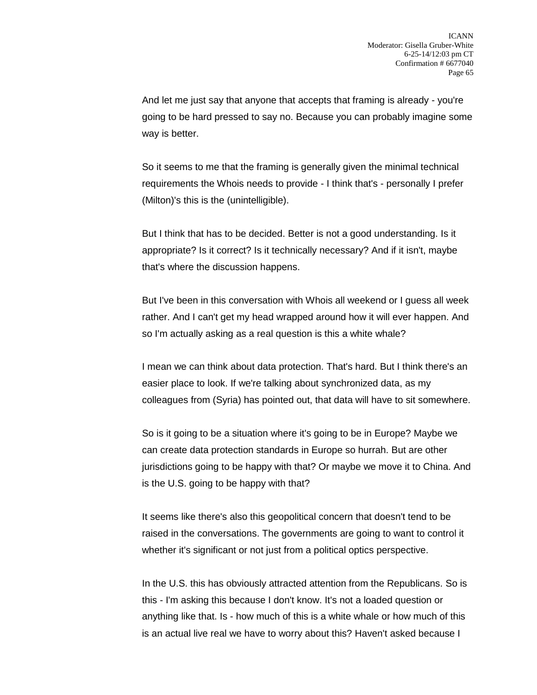And let me just say that anyone that accepts that framing is already - you're going to be hard pressed to say no. Because you can probably imagine some way is better.

So it seems to me that the framing is generally given the minimal technical requirements the Whois needs to provide - I think that's - personally I prefer (Milton)'s this is the (unintelligible).

But I think that has to be decided. Better is not a good understanding. Is it appropriate? Is it correct? Is it technically necessary? And if it isn't, maybe that's where the discussion happens.

But I've been in this conversation with Whois all weekend or I guess all week rather. And I can't get my head wrapped around how it will ever happen. And so I'm actually asking as a real question is this a white whale?

I mean we can think about data protection. That's hard. But I think there's an easier place to look. If we're talking about synchronized data, as my colleagues from (Syria) has pointed out, that data will have to sit somewhere.

So is it going to be a situation where it's going to be in Europe? Maybe we can create data protection standards in Europe so hurrah. But are other jurisdictions going to be happy with that? Or maybe we move it to China. And is the U.S. going to be happy with that?

It seems like there's also this geopolitical concern that doesn't tend to be raised in the conversations. The governments are going to want to control it whether it's significant or not just from a political optics perspective.

In the U.S. this has obviously attracted attention from the Republicans. So is this - I'm asking this because I don't know. It's not a loaded question or anything like that. Is - how much of this is a white whale or how much of this is an actual live real we have to worry about this? Haven't asked because I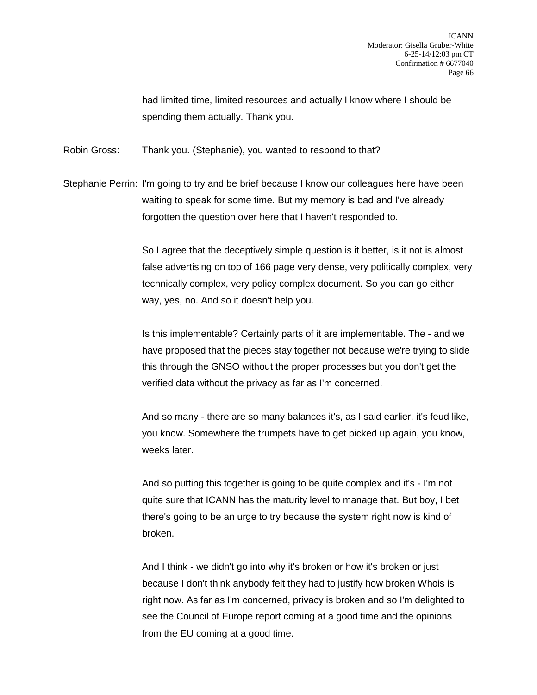had limited time, limited resources and actually I know where I should be spending them actually. Thank you.

Robin Gross: Thank you. (Stephanie), you wanted to respond to that?

Stephanie Perrin: I'm going to try and be brief because I know our colleagues here have been waiting to speak for some time. But my memory is bad and I've already forgotten the question over here that I haven't responded to.

> So I agree that the deceptively simple question is it better, is it not is almost false advertising on top of 166 page very dense, very politically complex, very technically complex, very policy complex document. So you can go either way, yes, no. And so it doesn't help you.

> Is this implementable? Certainly parts of it are implementable. The - and we have proposed that the pieces stay together not because we're trying to slide this through the GNSO without the proper processes but you don't get the verified data without the privacy as far as I'm concerned.

> And so many - there are so many balances it's, as I said earlier, it's feud like, you know. Somewhere the trumpets have to get picked up again, you know, weeks later.

And so putting this together is going to be quite complex and it's - I'm not quite sure that ICANN has the maturity level to manage that. But boy, I bet there's going to be an urge to try because the system right now is kind of broken.

And I think - we didn't go into why it's broken or how it's broken or just because I don't think anybody felt they had to justify how broken Whois is right now. As far as I'm concerned, privacy is broken and so I'm delighted to see the Council of Europe report coming at a good time and the opinions from the EU coming at a good time.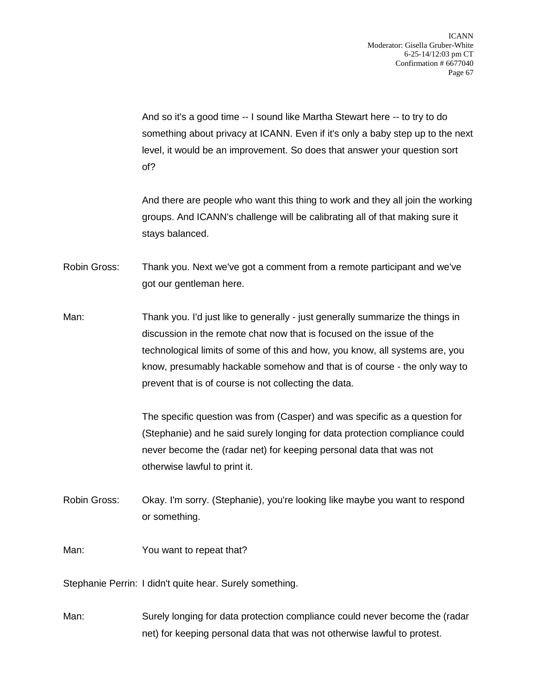And so it's a good time -- I sound like Martha Stewart here -- to try to do something about privacy at ICANN. Even if it's only a baby step up to the next level, it would be an improvement. So does that answer your question sort of?

And there are people who want this thing to work and they all join the working groups. And ICANN's challenge will be calibrating all of that making sure it stays balanced.

Robin Gross: Thank you. Next we've got a comment from a remote participant and we've got our gentleman here.

Man: Thank you. I'd just like to generally - just generally summarize the things in discussion in the remote chat now that is focused on the issue of the technological limits of some of this and how, you know, all systems are, you know, presumably hackable somehow and that is of course - the only way to prevent that is of course is not collecting the data.

> The specific question was from (Casper) and was specific as a question for (Stephanie) and he said surely longing for data protection compliance could never become the (radar net) for keeping personal data that was not otherwise lawful to print it.

- Robin Gross: Okay. I'm sorry. (Stephanie), you're looking like maybe you want to respond or something.
- Man: You want to repeat that?

Stephanie Perrin: I didn't quite hear. Surely something.

Man: Surely longing for data protection compliance could never become the (radar net) for keeping personal data that was not otherwise lawful to protest.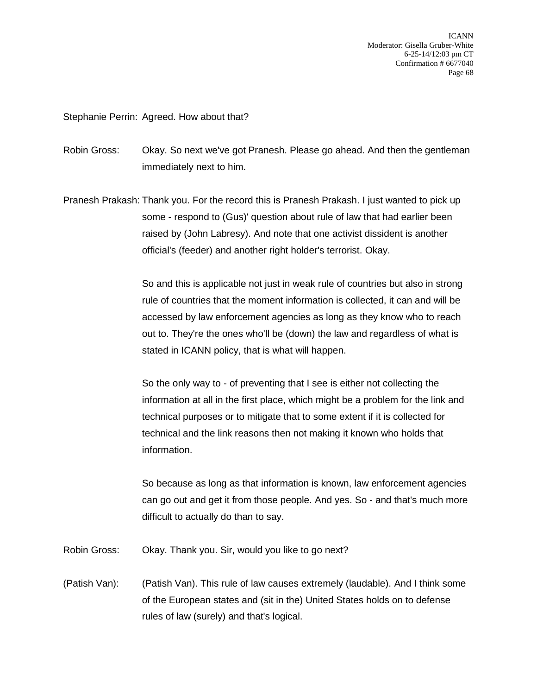ICANN Moderator: Gisella Gruber-White 6-25-14/12:03 pm CT Confirmation # 6677040 Page 68

## Stephanie Perrin: Agreed. How about that?

Robin Gross: Okay. So next we've got Pranesh. Please go ahead. And then the gentleman immediately next to him.

Pranesh Prakash: Thank you. For the record this is Pranesh Prakash. I just wanted to pick up some - respond to (Gus)' question about rule of law that had earlier been raised by (John Labresy). And note that one activist dissident is another official's (feeder) and another right holder's terrorist. Okay.

> So and this is applicable not just in weak rule of countries but also in strong rule of countries that the moment information is collected, it can and will be accessed by law enforcement agencies as long as they know who to reach out to. They're the ones who'll be (down) the law and regardless of what is stated in ICANN policy, that is what will happen.

> So the only way to - of preventing that I see is either not collecting the information at all in the first place, which might be a problem for the link and technical purposes or to mitigate that to some extent if it is collected for technical and the link reasons then not making it known who holds that information.

So because as long as that information is known, law enforcement agencies can go out and get it from those people. And yes. So - and that's much more difficult to actually do than to say.

Robin Gross: Okay. Thank you. Sir, would you like to go next?

(Patish Van): (Patish Van). This rule of law causes extremely (laudable). And I think some of the European states and (sit in the) United States holds on to defense rules of law (surely) and that's logical.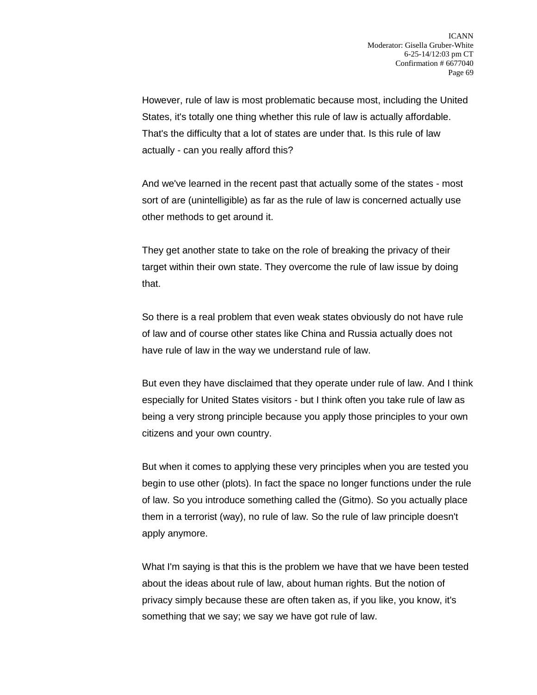However, rule of law is most problematic because most, including the United States, it's totally one thing whether this rule of law is actually affordable. That's the difficulty that a lot of states are under that. Is this rule of law actually - can you really afford this?

And we've learned in the recent past that actually some of the states - most sort of are (unintelligible) as far as the rule of law is concerned actually use other methods to get around it.

They get another state to take on the role of breaking the privacy of their target within their own state. They overcome the rule of law issue by doing that.

So there is a real problem that even weak states obviously do not have rule of law and of course other states like China and Russia actually does not have rule of law in the way we understand rule of law.

But even they have disclaimed that they operate under rule of law. And I think especially for United States visitors - but I think often you take rule of law as being a very strong principle because you apply those principles to your own citizens and your own country.

But when it comes to applying these very principles when you are tested you begin to use other (plots). In fact the space no longer functions under the rule of law. So you introduce something called the (Gitmo). So you actually place them in a terrorist (way), no rule of law. So the rule of law principle doesn't apply anymore.

What I'm saying is that this is the problem we have that we have been tested about the ideas about rule of law, about human rights. But the notion of privacy simply because these are often taken as, if you like, you know, it's something that we say; we say we have got rule of law.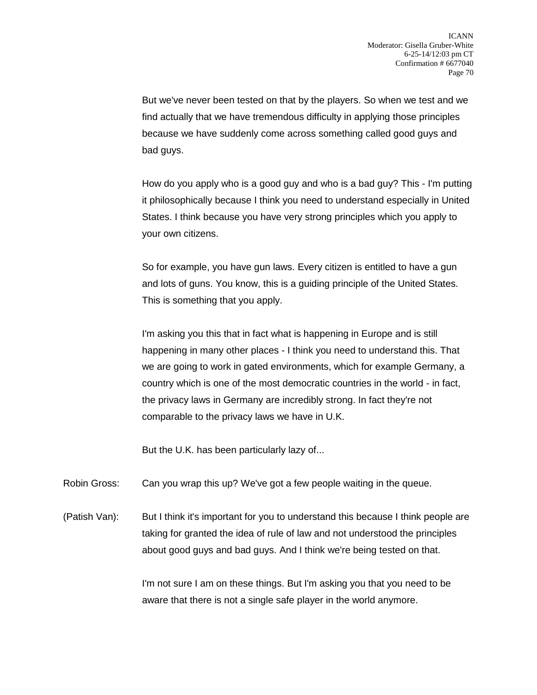But we've never been tested on that by the players. So when we test and we find actually that we have tremendous difficulty in applying those principles because we have suddenly come across something called good guys and bad guys.

How do you apply who is a good guy and who is a bad guy? This - I'm putting it philosophically because I think you need to understand especially in United States. I think because you have very strong principles which you apply to your own citizens.

So for example, you have gun laws. Every citizen is entitled to have a gun and lots of guns. You know, this is a guiding principle of the United States. This is something that you apply.

I'm asking you this that in fact what is happening in Europe and is still happening in many other places - I think you need to understand this. That we are going to work in gated environments, which for example Germany, a country which is one of the most democratic countries in the world - in fact, the privacy laws in Germany are incredibly strong. In fact they're not comparable to the privacy laws we have in U.K.

But the U.K. has been particularly lazy of...

Robin Gross: Can you wrap this up? We've got a few people waiting in the queue.

(Patish Van): But I think it's important for you to understand this because I think people are taking for granted the idea of rule of law and not understood the principles about good guys and bad guys. And I think we're being tested on that.

> I'm not sure I am on these things. But I'm asking you that you need to be aware that there is not a single safe player in the world anymore.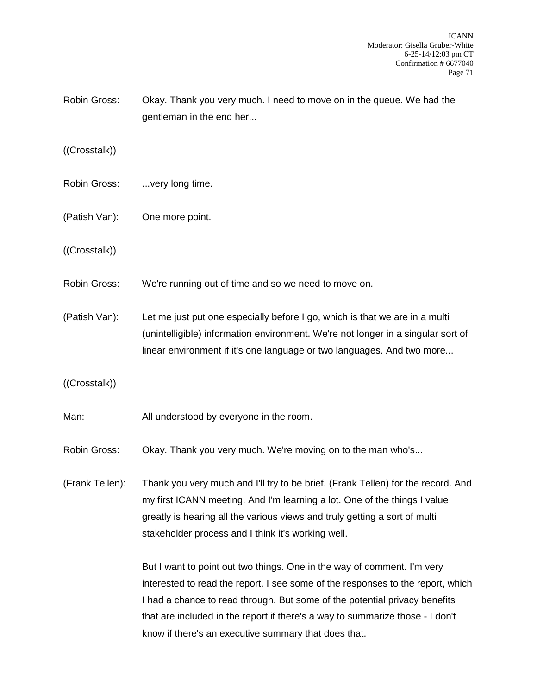Robin Gross: Okay. Thank you very much. I need to move on in the queue. We had the gentleman in the end her...

((Crosstalk))

- Robin Gross: ...very long time.
- (Patish Van): One more point.
- ((Crosstalk))
- Robin Gross: We're running out of time and so we need to move on.

(Patish Van): Let me just put one especially before I go, which is that we are in a multi (unintelligible) information environment. We're not longer in a singular sort of linear environment if it's one language or two languages. And two more...

((Crosstalk))

- Man: All understood by everyone in the room.
- Robin Gross: Okay. Thank you very much. We're moving on to the man who's...

(Frank Tellen): Thank you very much and I'll try to be brief. (Frank Tellen) for the record. And my first ICANN meeting. And I'm learning a lot. One of the things I value greatly is hearing all the various views and truly getting a sort of multi stakeholder process and I think it's working well.

> But I want to point out two things. One in the way of comment. I'm very interested to read the report. I see some of the responses to the report, which I had a chance to read through. But some of the potential privacy benefits that are included in the report if there's a way to summarize those - I don't know if there's an executive summary that does that.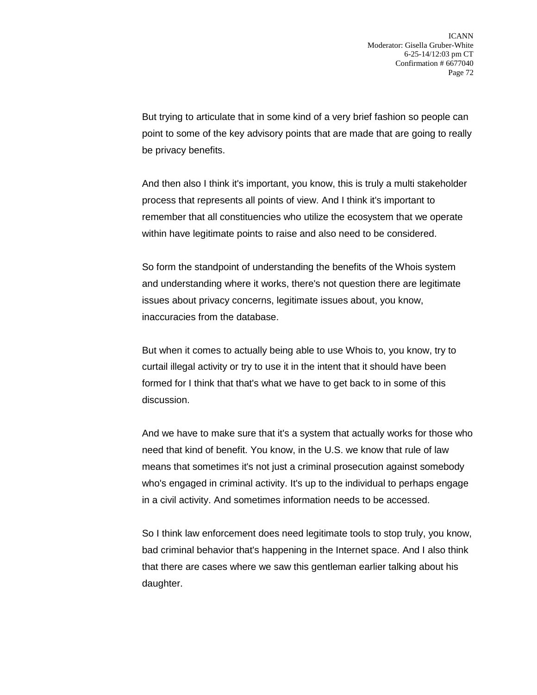But trying to articulate that in some kind of a very brief fashion so people can point to some of the key advisory points that are made that are going to really be privacy benefits.

And then also I think it's important, you know, this is truly a multi stakeholder process that represents all points of view. And I think it's important to remember that all constituencies who utilize the ecosystem that we operate within have legitimate points to raise and also need to be considered.

So form the standpoint of understanding the benefits of the Whois system and understanding where it works, there's not question there are legitimate issues about privacy concerns, legitimate issues about, you know, inaccuracies from the database.

But when it comes to actually being able to use Whois to, you know, try to curtail illegal activity or try to use it in the intent that it should have been formed for I think that that's what we have to get back to in some of this discussion.

And we have to make sure that it's a system that actually works for those who need that kind of benefit. You know, in the U.S. we know that rule of law means that sometimes it's not just a criminal prosecution against somebody who's engaged in criminal activity. It's up to the individual to perhaps engage in a civil activity. And sometimes information needs to be accessed.

So I think law enforcement does need legitimate tools to stop truly, you know, bad criminal behavior that's happening in the Internet space. And I also think that there are cases where we saw this gentleman earlier talking about his daughter.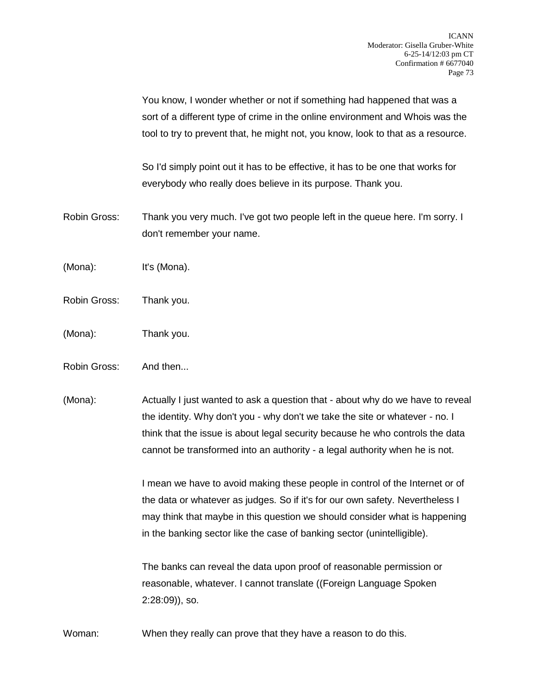You know, I wonder whether or not if something had happened that was a sort of a different type of crime in the online environment and Whois was the tool to try to prevent that, he might not, you know, look to that as a resource.

So I'd simply point out it has to be effective, it has to be one that works for everybody who really does believe in its purpose. Thank you.

- Robin Gross: Thank you very much. I've got two people left in the queue here. I'm sorry. I don't remember your name.
- (Mona): It's (Mona).
- Robin Gross: Thank you.
- (Mona): Thank you.
- Robin Gross: And then...
- (Mona): Actually I just wanted to ask a question that about why do we have to reveal the identity. Why don't you - why don't we take the site or whatever - no. I think that the issue is about legal security because he who controls the data cannot be transformed into an authority - a legal authority when he is not.

I mean we have to avoid making these people in control of the Internet or of the data or whatever as judges. So if it's for our own safety. Nevertheless I may think that maybe in this question we should consider what is happening in the banking sector like the case of banking sector (unintelligible).

The banks can reveal the data upon proof of reasonable permission or reasonable, whatever. I cannot translate ((Foreign Language Spoken 2:28:09)), so.

Woman: When they really can prove that they have a reason to do this.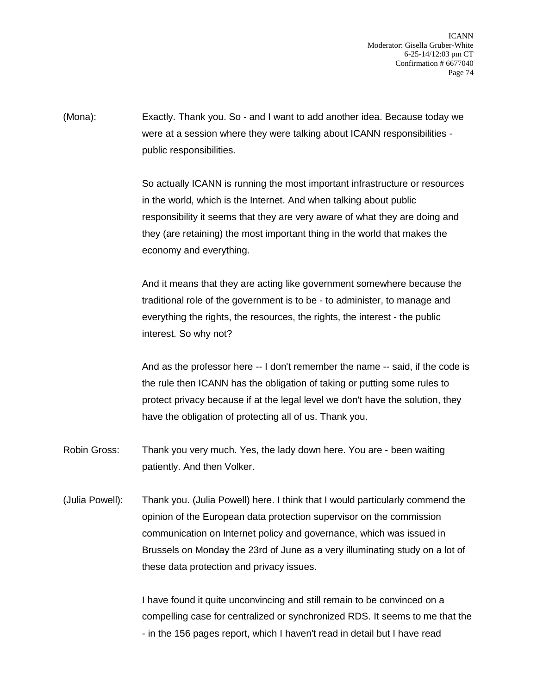ICANN Moderator: Gisella Gruber-White 6-25-14/12:03 pm CT Confirmation # 6677040 Page 74

(Mona): Exactly. Thank you. So - and I want to add another idea. Because today we were at a session where they were talking about ICANN responsibilities public responsibilities.

> So actually ICANN is running the most important infrastructure or resources in the world, which is the Internet. And when talking about public responsibility it seems that they are very aware of what they are doing and they (are retaining) the most important thing in the world that makes the economy and everything.

> And it means that they are acting like government somewhere because the traditional role of the government is to be - to administer, to manage and everything the rights, the resources, the rights, the interest - the public interest. So why not?

And as the professor here -- I don't remember the name -- said, if the code is the rule then ICANN has the obligation of taking or putting some rules to protect privacy because if at the legal level we don't have the solution, they have the obligation of protecting all of us. Thank you.

- Robin Gross: Thank you very much. Yes, the lady down here. You are been waiting patiently. And then Volker.
- (Julia Powell): Thank you. (Julia Powell) here. I think that I would particularly commend the opinion of the European data protection supervisor on the commission communication on Internet policy and governance, which was issued in Brussels on Monday the 23rd of June as a very illuminating study on a lot of these data protection and privacy issues.

I have found it quite unconvincing and still remain to be convinced on a compelling case for centralized or synchronized RDS. It seems to me that the - in the 156 pages report, which I haven't read in detail but I have read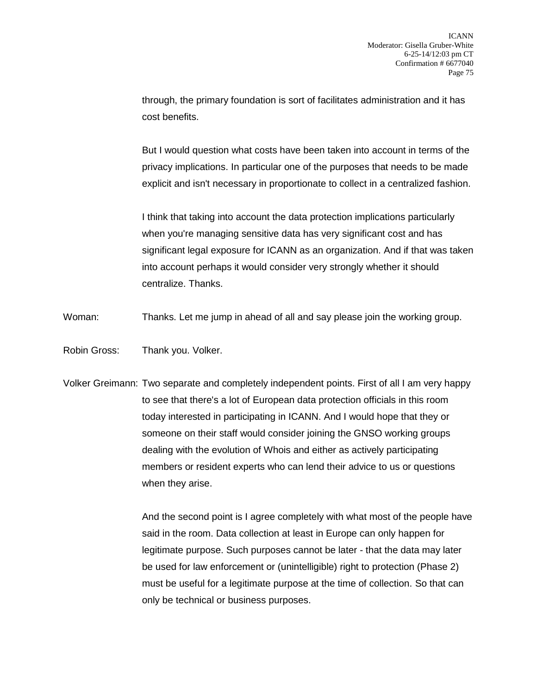through, the primary foundation is sort of facilitates administration and it has cost benefits.

But I would question what costs have been taken into account in terms of the privacy implications. In particular one of the purposes that needs to be made explicit and isn't necessary in proportionate to collect in a centralized fashion.

I think that taking into account the data protection implications particularly when you're managing sensitive data has very significant cost and has significant legal exposure for ICANN as an organization. And if that was taken into account perhaps it would consider very strongly whether it should centralize. Thanks.

Woman: Thanks. Let me jump in ahead of all and say please join the working group.

Robin Gross: Thank you. Volker.

Volker Greimann: Two separate and completely independent points. First of all I am very happy to see that there's a lot of European data protection officials in this room today interested in participating in ICANN. And I would hope that they or someone on their staff would consider joining the GNSO working groups dealing with the evolution of Whois and either as actively participating members or resident experts who can lend their advice to us or questions when they arise.

> And the second point is I agree completely with what most of the people have said in the room. Data collection at least in Europe can only happen for legitimate purpose. Such purposes cannot be later - that the data may later be used for law enforcement or (unintelligible) right to protection (Phase 2) must be useful for a legitimate purpose at the time of collection. So that can only be technical or business purposes.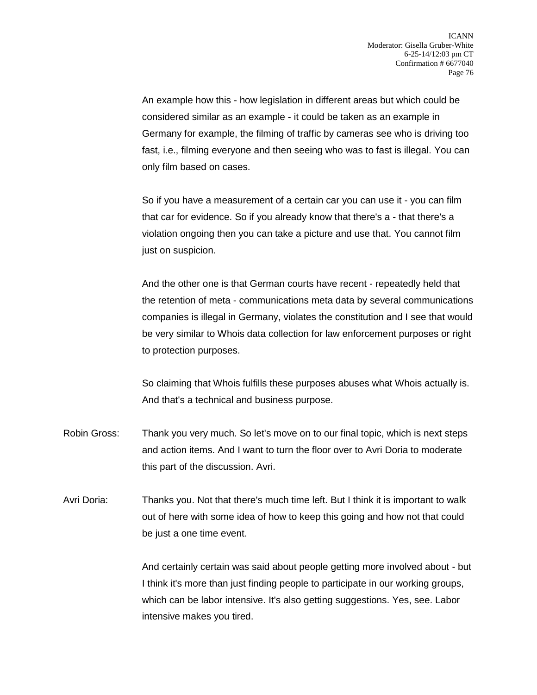An example how this - how legislation in different areas but which could be considered similar as an example - it could be taken as an example in Germany for example, the filming of traffic by cameras see who is driving too fast, i.e., filming everyone and then seeing who was to fast is illegal. You can only film based on cases.

So if you have a measurement of a certain car you can use it - you can film that car for evidence. So if you already know that there's a - that there's a violation ongoing then you can take a picture and use that. You cannot film just on suspicion.

And the other one is that German courts have recent - repeatedly held that the retention of meta - communications meta data by several communications companies is illegal in Germany, violates the constitution and I see that would be very similar to Whois data collection for law enforcement purposes or right to protection purposes.

So claiming that Whois fulfills these purposes abuses what Whois actually is. And that's a technical and business purpose.

- Robin Gross: Thank you very much. So let's move on to our final topic, which is next steps and action items. And I want to turn the floor over to Avri Doria to moderate this part of the discussion. Avri.
- Avri Doria: Thanks you. Not that there's much time left. But I think it is important to walk out of here with some idea of how to keep this going and how not that could be just a one time event.

And certainly certain was said about people getting more involved about - but I think it's more than just finding people to participate in our working groups, which can be labor intensive. It's also getting suggestions. Yes, see. Labor intensive makes you tired.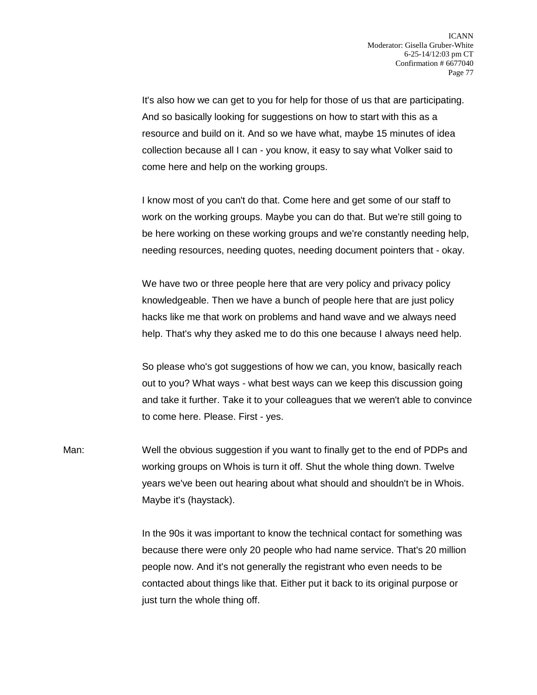It's also how we can get to you for help for those of us that are participating. And so basically looking for suggestions on how to start with this as a resource and build on it. And so we have what, maybe 15 minutes of idea collection because all I can - you know, it easy to say what Volker said to come here and help on the working groups.

I know most of you can't do that. Come here and get some of our staff to work on the working groups. Maybe you can do that. But we're still going to be here working on these working groups and we're constantly needing help, needing resources, needing quotes, needing document pointers that - okay.

We have two or three people here that are very policy and privacy policy knowledgeable. Then we have a bunch of people here that are just policy hacks like me that work on problems and hand wave and we always need help. That's why they asked me to do this one because I always need help.

So please who's got suggestions of how we can, you know, basically reach out to you? What ways - what best ways can we keep this discussion going and take it further. Take it to your colleagues that we weren't able to convince to come here. Please. First - yes.

Man: Well the obvious suggestion if you want to finally get to the end of PDPs and working groups on Whois is turn it off. Shut the whole thing down. Twelve years we've been out hearing about what should and shouldn't be in Whois. Maybe it's (haystack).

> In the 90s it was important to know the technical contact for something was because there were only 20 people who had name service. That's 20 million people now. And it's not generally the registrant who even needs to be contacted about things like that. Either put it back to its original purpose or just turn the whole thing off.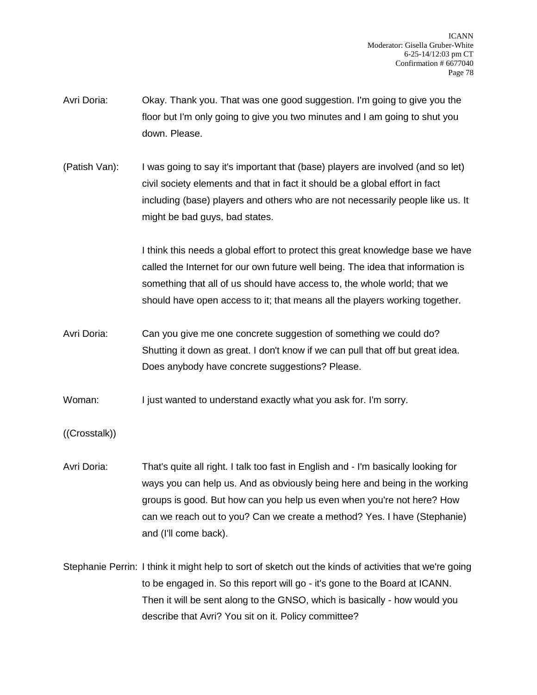- Avri Doria: Okay. Thank you. That was one good suggestion. I'm going to give you the floor but I'm only going to give you two minutes and I am going to shut you down. Please.
- (Patish Van): I was going to say it's important that (base) players are involved (and so let) civil society elements and that in fact it should be a global effort in fact including (base) players and others who are not necessarily people like us. It might be bad guys, bad states.

I think this needs a global effort to protect this great knowledge base we have called the Internet for our own future well being. The idea that information is something that all of us should have access to, the whole world; that we should have open access to it; that means all the players working together.

Avri Doria: Can you give me one concrete suggestion of something we could do? Shutting it down as great. I don't know if we can pull that off but great idea. Does anybody have concrete suggestions? Please.

Woman: I just wanted to understand exactly what you ask for. I'm sorry.

- ((Crosstalk))
- Avri Doria: That's quite all right. I talk too fast in English and I'm basically looking for ways you can help us. And as obviously being here and being in the working groups is good. But how can you help us even when you're not here? How can we reach out to you? Can we create a method? Yes. I have (Stephanie) and (I'll come back).
- Stephanie Perrin: I think it might help to sort of sketch out the kinds of activities that we're going to be engaged in. So this report will go - it's gone to the Board at ICANN. Then it will be sent along to the GNSO, which is basically - how would you describe that Avri? You sit on it. Policy committee?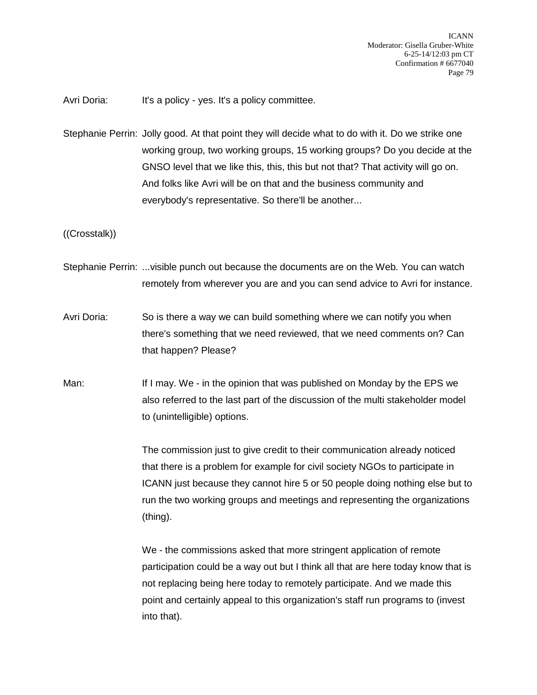Avri Doria: It's a policy - yes. It's a policy committee.

Stephanie Perrin: Jolly good. At that point they will decide what to do with it. Do we strike one working group, two working groups, 15 working groups? Do you decide at the GNSO level that we like this, this, this but not that? That activity will go on. And folks like Avri will be on that and the business community and everybody's representative. So there'll be another...

((Crosstalk))

- Stephanie Perrin: ...visible punch out because the documents are on the Web. You can watch remotely from wherever you are and you can send advice to Avri for instance.
- Avri Doria: So is there a way we can build something where we can notify you when there's something that we need reviewed, that we need comments on? Can that happen? Please?
- Man: If I may. We in the opinion that was published on Monday by the EPS we also referred to the last part of the discussion of the multi stakeholder model to (unintelligible) options.

The commission just to give credit to their communication already noticed that there is a problem for example for civil society NGOs to participate in ICANN just because they cannot hire 5 or 50 people doing nothing else but to run the two working groups and meetings and representing the organizations (thing).

We - the commissions asked that more stringent application of remote participation could be a way out but I think all that are here today know that is not replacing being here today to remotely participate. And we made this point and certainly appeal to this organization's staff run programs to (invest into that).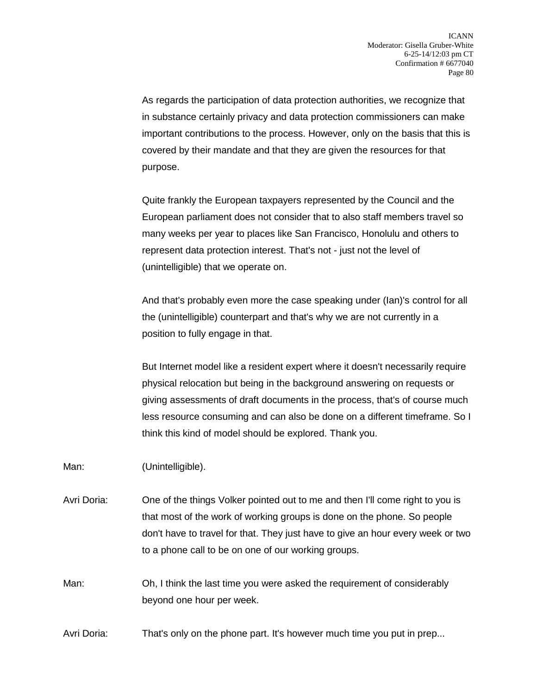As regards the participation of data protection authorities, we recognize that in substance certainly privacy and data protection commissioners can make important contributions to the process. However, only on the basis that this is covered by their mandate and that they are given the resources for that purpose.

Quite frankly the European taxpayers represented by the Council and the European parliament does not consider that to also staff members travel so many weeks per year to places like San Francisco, Honolulu and others to represent data protection interest. That's not - just not the level of (unintelligible) that we operate on.

And that's probably even more the case speaking under (Ian)'s control for all the (unintelligible) counterpart and that's why we are not currently in a position to fully engage in that.

But Internet model like a resident expert where it doesn't necessarily require physical relocation but being in the background answering on requests or giving assessments of draft documents in the process, that's of course much less resource consuming and can also be done on a different timeframe. So I think this kind of model should be explored. Thank you.

Man: (Unintelligible).

Avri Doria: One of the things Volker pointed out to me and then I'll come right to you is that most of the work of working groups is done on the phone. So people don't have to travel for that. They just have to give an hour every week or two to a phone call to be on one of our working groups.

Man: Oh, I think the last time you were asked the requirement of considerably beyond one hour per week.

Avri Doria: That's only on the phone part. It's however much time you put in prep...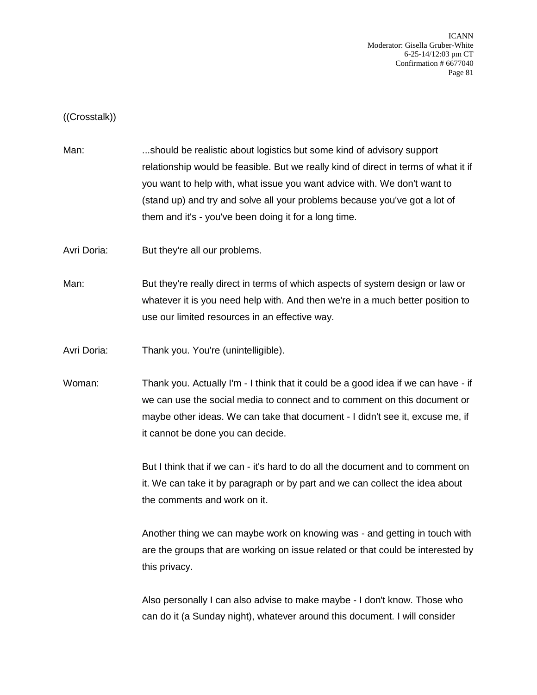ICANN Moderator: Gisella Gruber-White 6-25-14/12:03 pm CT Confirmation # 6677040 Page 81

((Crosstalk))

Man: ....should be realistic about logistics but some kind of advisory support relationship would be feasible. But we really kind of direct in terms of what it if you want to help with, what issue you want advice with. We don't want to (stand up) and try and solve all your problems because you've got a lot of them and it's - you've been doing it for a long time.

Avri Doria: But they're all our problems.

Man: But they're really direct in terms of which aspects of system design or law or whatever it is you need help with. And then we're in a much better position to use our limited resources in an effective way.

Avri Doria: Thank you. You're (unintelligible).

Woman: Thank you. Actually I'm - I think that it could be a good idea if we can have - if we can use the social media to connect and to comment on this document or maybe other ideas. We can take that document - I didn't see it, excuse me, if it cannot be done you can decide.

> But I think that if we can - it's hard to do all the document and to comment on it. We can take it by paragraph or by part and we can collect the idea about the comments and work on it.

Another thing we can maybe work on knowing was - and getting in touch with are the groups that are working on issue related or that could be interested by this privacy.

Also personally I can also advise to make maybe - I don't know. Those who can do it (a Sunday night), whatever around this document. I will consider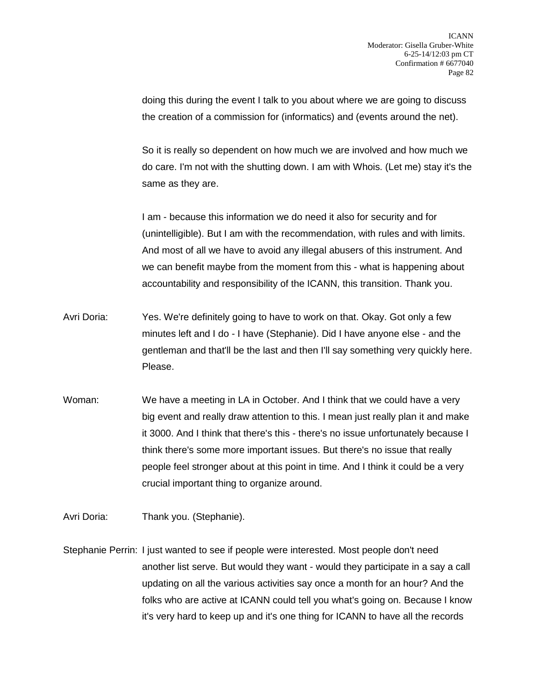doing this during the event I talk to you about where we are going to discuss the creation of a commission for (informatics) and (events around the net).

So it is really so dependent on how much we are involved and how much we do care. I'm not with the shutting down. I am with Whois. (Let me) stay it's the same as they are.

I am - because this information we do need it also for security and for (unintelligible). But I am with the recommendation, with rules and with limits. And most of all we have to avoid any illegal abusers of this instrument. And we can benefit maybe from the moment from this - what is happening about accountability and responsibility of the ICANN, this transition. Thank you.

- Avri Doria: Yes. We're definitely going to have to work on that. Okay. Got only a few minutes left and I do - I have (Stephanie). Did I have anyone else - and the gentleman and that'll be the last and then I'll say something very quickly here. Please.
- Woman: We have a meeting in LA in October. And I think that we could have a very big event and really draw attention to this. I mean just really plan it and make it 3000. And I think that there's this - there's no issue unfortunately because I think there's some more important issues. But there's no issue that really people feel stronger about at this point in time. And I think it could be a very crucial important thing to organize around.
- Avri Doria: Thank you. (Stephanie).

Stephanie Perrin: I just wanted to see if people were interested. Most people don't need another list serve. But would they want - would they participate in a say a call updating on all the various activities say once a month for an hour? And the folks who are active at ICANN could tell you what's going on. Because I know it's very hard to keep up and it's one thing for ICANN to have all the records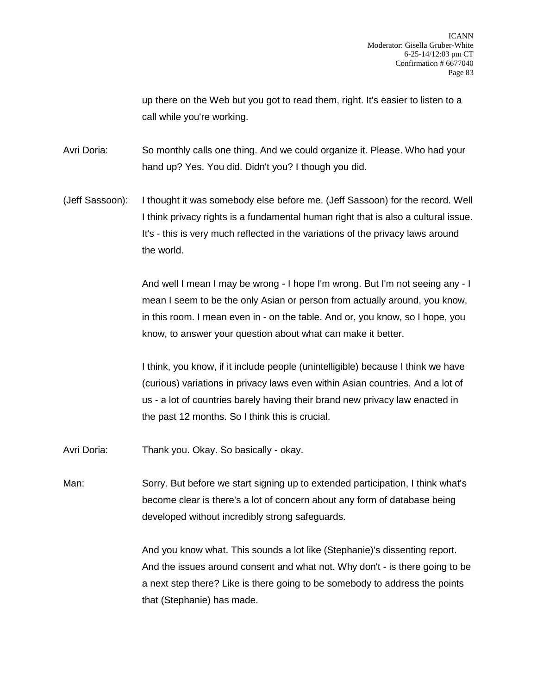up there on the Web but you got to read them, right. It's easier to listen to a call while you're working.

Avri Doria: So monthly calls one thing. And we could organize it. Please. Who had your hand up? Yes. You did. Didn't you? I though you did.

(Jeff Sassoon): I thought it was somebody else before me. (Jeff Sassoon) for the record. Well I think privacy rights is a fundamental human right that is also a cultural issue. It's - this is very much reflected in the variations of the privacy laws around the world.

> And well I mean I may be wrong - I hope I'm wrong. But I'm not seeing any - I mean I seem to be the only Asian or person from actually around, you know, in this room. I mean even in - on the table. And or, you know, so I hope, you know, to answer your question about what can make it better.

I think, you know, if it include people (unintelligible) because I think we have (curious) variations in privacy laws even within Asian countries. And a lot of us - a lot of countries barely having their brand new privacy law enacted in the past 12 months. So I think this is crucial.

Avri Doria: Thank you. Okay. So basically - okay.

Man: Sorry. But before we start signing up to extended participation, I think what's become clear is there's a lot of concern about any form of database being developed without incredibly strong safeguards.

> And you know what. This sounds a lot like (Stephanie)'s dissenting report. And the issues around consent and what not. Why don't - is there going to be a next step there? Like is there going to be somebody to address the points that (Stephanie) has made.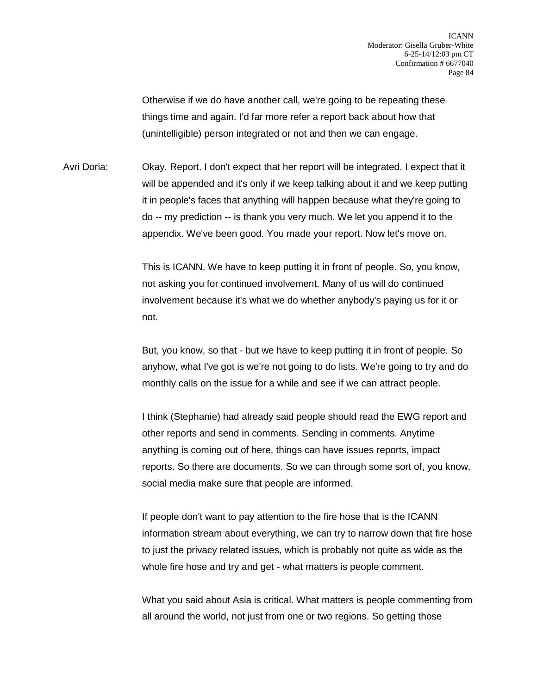Otherwise if we do have another call, we're going to be repeating these things time and again. I'd far more refer a report back about how that (unintelligible) person integrated or not and then we can engage.

Avri Doria: Okay. Report. I don't expect that her report will be integrated. I expect that it will be appended and it's only if we keep talking about it and we keep putting it in people's faces that anything will happen because what they're going to do -- my prediction -- is thank you very much. We let you append it to the appendix. We've been good. You made your report. Now let's move on.

> This is ICANN. We have to keep putting it in front of people. So, you know, not asking you for continued involvement. Many of us will do continued involvement because it's what we do whether anybody's paying us for it or not.

But, you know, so that - but we have to keep putting it in front of people. So anyhow, what I've got is we're not going to do lists. We're going to try and do monthly calls on the issue for a while and see if we can attract people.

I think (Stephanie) had already said people should read the EWG report and other reports and send in comments. Sending in comments. Anytime anything is coming out of here, things can have issues reports, impact reports. So there are documents. So we can through some sort of, you know, social media make sure that people are informed.

If people don't want to pay attention to the fire hose that is the ICANN information stream about everything, we can try to narrow down that fire hose to just the privacy related issues, which is probably not quite as wide as the whole fire hose and try and get - what matters is people comment.

What you said about Asia is critical. What matters is people commenting from all around the world, not just from one or two regions. So getting those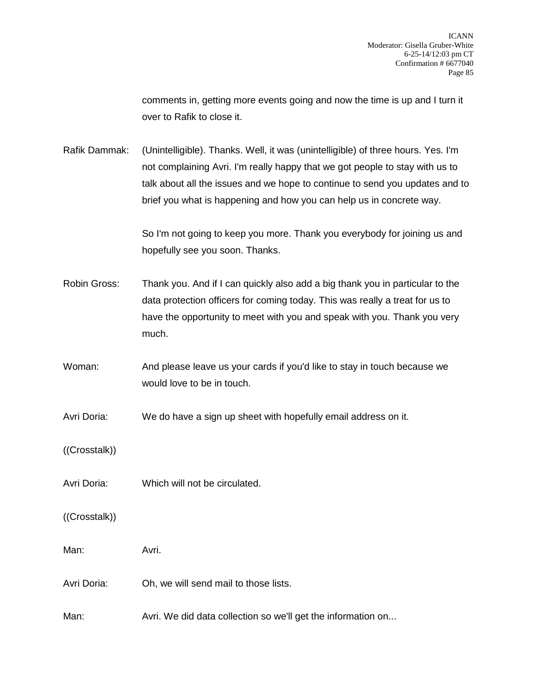comments in, getting more events going and now the time is up and I turn it over to Rafik to close it.

Rafik Dammak: (Unintelligible). Thanks. Well, it was (unintelligible) of three hours. Yes. I'm not complaining Avri. I'm really happy that we got people to stay with us to talk about all the issues and we hope to continue to send you updates and to brief you what is happening and how you can help us in concrete way.

> So I'm not going to keep you more. Thank you everybody for joining us and hopefully see you soon. Thanks.

Robin Gross: Thank you. And if I can quickly also add a big thank you in particular to the data protection officers for coming today. This was really a treat for us to have the opportunity to meet with you and speak with you. Thank you very much.

Woman: And please leave us your cards if you'd like to stay in touch because we would love to be in touch.

Avri Doria: We do have a sign up sheet with hopefully email address on it.

- ((Crosstalk))
- Avri Doria: Which will not be circulated.
- ((Crosstalk))

Man: Avri.

Avri Doria: Oh, we will send mail to those lists.

Man: Avri. We did data collection so we'll get the information on...